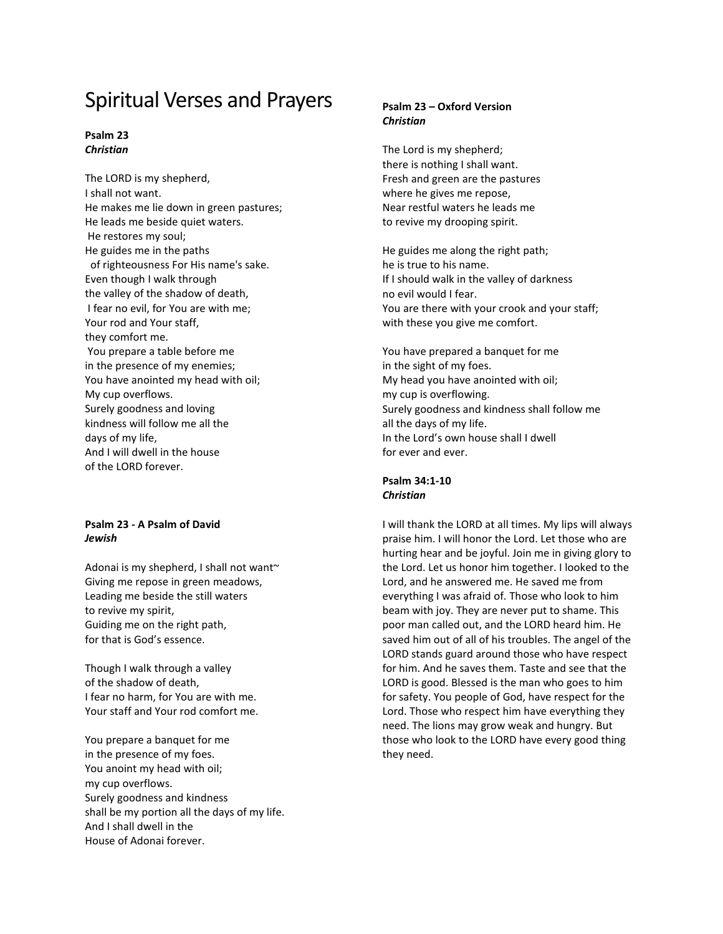# Spiritual Verses and Prayers

## **Psalm 23** *Christian*

The LORD is my shepherd, I shall not want. He makes me lie down in green pastures; He leads me beside quiet waters. He restores my soul; He guides me in the paths of righteousness For His name's sake. Even though I walk through the valley of the shadow of death, I fear no evil, for You are with me; Your rod and Your staff, they comfort me. You prepare a table before me in the presence of my enemies; You have anointed my head with oil; My cup overflows. Surely goodness and loving kindness will follow me all the days of my life, And I will dwell in the house of the LORD forever.

## **Psalm 23 - A Psalm of David** *Jewish*

Adonai is my shepherd, I shall not want~ Giving me repose in green meadows, Leading me beside the still waters to revive my spirit, Guiding me on the right path, for that is God's essence.

Though I walk through a valley of the shadow of death, I fear no harm, for You are with me. Your staff and Your rod comfort me.

You prepare a banquet for me in the presence of my foes. You anoint my head with oil; my cup overflows. Surely goodness and kindness shall be my portion all the days of my life. And I shall dwell in the House of Adonai forever.

## **Psalm 23 – Oxford Version** *Christian*

The Lord is my shepherd; there is nothing I shall want. Fresh and green are the pastures where he gives me repose, Near restful waters he leads me to revive my drooping spirit.

He guides me along the right path; he is true to his name. If I should walk in the valley of darkness no evil would I fear. You are there with your crook and your staff; with these you give me comfort.

You have prepared a banquet for me in the sight of my foes. My head you have anointed with oil; my cup is overflowing. Surely goodness and kindness shall follow me all the days of my life. In the Lord's own house shall I dwell for ever and ever.

## **Psalm 34:1-10** *Christian*

I will thank the LORD at all times. My lips will always praise him. I will honor the Lord. Let those who are hurting hear and be joyful. Join me in giving glory to the Lord. Let us honor him together. I looked to the Lord, and he answered me. He saved me from everything I was afraid of. Those who look to him beam with joy. They are never put to shame. This poor man called out, and the LORD heard him. He saved him out of all of his troubles. The angel of the LORD stands guard around those who have respect for him. And he saves them. Taste and see that the LORD is good. Blessed is the man who goes to him for safety. You people of God, have respect for the Lord. Those who respect him have everything they need. The lions may grow weak and hungry. But those who look to the LORD have every good thing they need.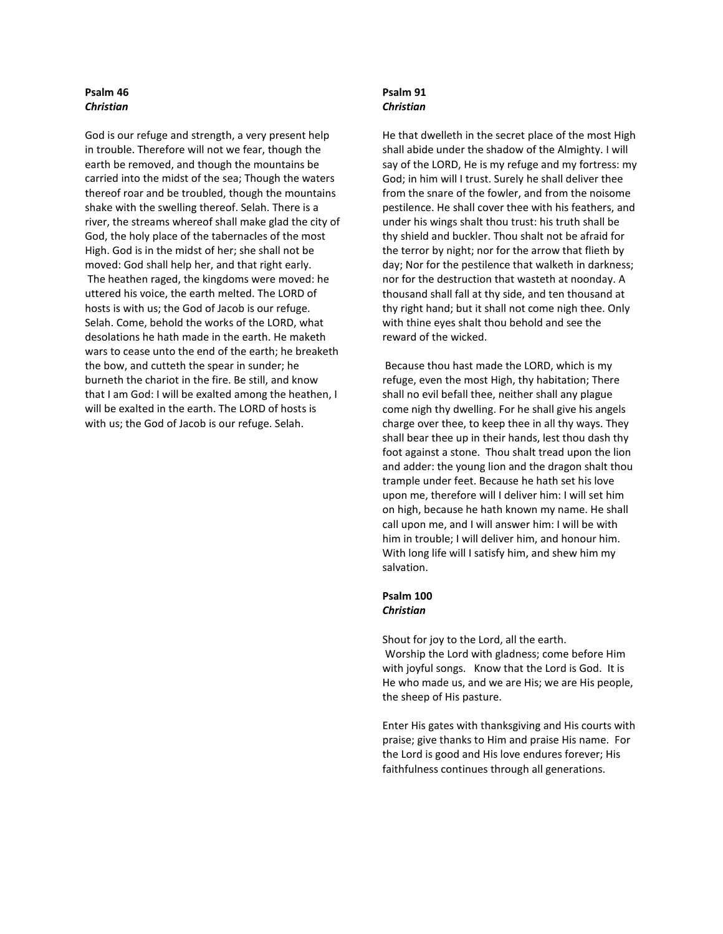#### **Psalm 46** *Christian*

God is our refuge and strength, a very present help in trouble. Therefore will not we fear, though the earth be removed, and though the mountains be carried into the midst of the sea; Though the waters thereof roar and be troubled, though the mountains shake with the swelling thereof. Selah. There is a river, the streams whereof shall make glad the city of God, the holy place of the tabernacles of the most High. God is in the midst of her; she shall not be moved: God shall help her, and that right early. The heathen raged, the kingdoms were moved: he uttered his voice, the earth melted. The LORD of hosts is with us; the God of Jacob is our refuge. Selah. Come, behold the works of the LORD, what desolations he hath made in the earth. He maketh wars to cease unto the end of the earth; he breaketh the bow, and cutteth the spear in sunder; he burneth the chariot in the fire. Be still, and know that I am God: I will be exalted among the heathen, I will be exalted in the earth. The LORD of hosts is with us; the God of Jacob is our refuge. Selah.

#### **Psalm 91** *Christian*

He that dwelleth in the secret place of the most High shall abide under the shadow of the Almighty. I will say of the LORD, He is my refuge and my fortress: my God; in him will I trust. Surely he shall deliver thee from the snare of the fowler, and from the noisome pestilence. He shall cover thee with his feathers, and under his wings shalt thou trust: his truth shall be thy shield and buckler. Thou shalt not be afraid for the terror by night; nor for the arrow that flieth by day; Nor for the pestilence that walketh in darkness; nor for the destruction that wasteth at noonday. A thousand shall fall at thy side, and ten thousand at thy right hand; but it shall not come nigh thee. Only with thine eyes shalt thou behold and see the reward of the wicked.

Because thou hast made the LORD, which is my refuge, even the most High, thy habitation; There shall no evil befall thee, neither shall any plague come nigh thy dwelling. For he shall give his angels charge over thee, to keep thee in all thy ways. They shall bear thee up in their hands, lest thou dash thy foot against a stone. Thou shalt tread upon the lion and adder: the young lion and the dragon shalt thou trample under feet. Because he hath set his love upon me, therefore will I deliver him: I will set him on high, because he hath known my name. He shall call upon me, and I will answer him: I will be with him in trouble; I will deliver him, and honour him. With long life will I satisfy him, and shew him my salvation.

## **Psalm 100** *Christian*

Shout for joy to the Lord, all the earth. Worship the Lord with gladness; come before Him with joyful songs. Know that the Lord is God. It is He who made us, and we are His; we are His people, the sheep of His pasture.

Enter His gates with thanksgiving and His courts with praise; give thanks to Him and praise His name. For the Lord is good and His love endures forever; His faithfulness continues through all generations.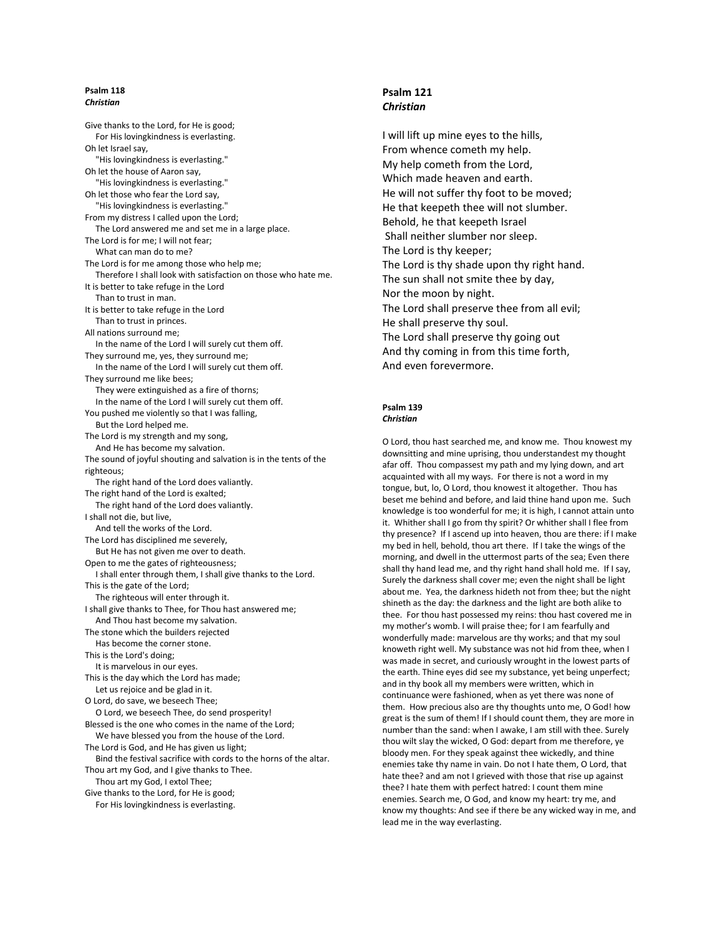#### **Psalm 118** *Christian*

Give thanks to the Lord, for He is good; For His lovingkindness is everlasting. Oh let Israel say, "His lovingkindness is everlasting." Oh let the house of Aaron say, "His lovingkindness is everlasting." Oh let those who fear the Lord say, "His lovingkindness is everlasting. From my distress I called upon the Lord; The Lord answered me and set me in a large place. The Lord is for me; I will not fear; What can man do to me? The Lord is for me among those who help me; Therefore I shall look with satisfaction on those who hate me. It is better to take refuge in the Lord Than to trust in man. It is better to take refuge in the Lord Than to trust in princes. All nations surround me; In the name of the Lord I will surely cut them off. They surround me, yes, they surround me; In the name of the Lord I will surely cut them off. They surround me like bees; They were extinguished as a fire of thorns; In the name of the Lord I will surely cut them off. You pushed me violently so that I was falling, But the Lord helped me. The Lord is my strength and my song, And He has become my salvation. The sound of joyful shouting and salvation is in the tents of the righteous; The right hand of the Lord does valiantly. The right hand of the Lord is exalted; The right hand of the Lord does valiantly. I shall not die, but live, And tell the works of the Lord. The Lord has disciplined me severely, But He has not given me over to death. Open to me the gates of righteousness; I shall enter through them, I shall give thanks to the Lord. This is the gate of the Lord; The righteous will enter through it. I shall give thanks to Thee, for Thou hast answered me; And Thou hast become my salvation. The stone which the builders rejected Has become the corner stone. This is the Lord's doing; It is marvelous in our eyes. This is the day which the Lord has made; Let us rejoice and be glad in it. O Lord, do save, we beseech Thee; O Lord, we beseech Thee, do send prosperity! Blessed is the one who comes in the name of the Lord; We have blessed you from the house of the Lord. The Lord is God, and He has given us light; Bind the festival sacrifice with cords to the horns of the altar. Thou art my God, and I give thanks to Thee. Thou art my God, I extol Thee; Give thanks to the Lord, for He is good; For His lovingkindness is everlasting.

#### **Psalm 121** *Christian*

I will lift up mine eyes to the hills, From whence cometh my help. My help cometh from the Lord, Which made heaven and earth. He will not suffer thy foot to be moved; He that keepeth thee will not slumber. Behold, he that keepeth Israel Shall neither slumber nor sleep. The Lord is thy keeper; The Lord is thy shade upon thy right hand. The sun shall not smite thee by day, Nor the moon by night. The Lord shall preserve thee from all evil; He shall preserve thy soul. The Lord shall preserve thy going out And thy coming in from this time forth, And even forevermore.

#### **Psalm 139** *Christian*

O Lord, thou hast searched me, and know me. Thou knowest my downsitting and mine uprising, thou understandest my thought afar off. Thou compassest my path and my lying down, and art acquainted with all my ways. For there is not a word in my tongue, but, lo, O Lord, thou knowest it altogether. Thou has beset me behind and before, and laid thine hand upon me. Such knowledge is too wonderful for me; it is high, I cannot attain unto it. Whither shall I go from thy spirit? Or whither shall I flee from thy presence? If I ascend up into heaven, thou are there: if I make my bed in hell, behold, thou art there. If I take the wings of the morning, and dwell in the uttermost parts of the sea; Even there shall thy hand lead me, and thy right hand shall hold me. If I say, Surely the darkness shall cover me; even the night shall be light about me. Yea, the darkness hideth not from thee; but the night shineth as the day: the darkness and the light are both alike to thee. For thou hast possessed my reins: thou hast covered me in my mother's womb. I will praise thee; for I am fearfully and wonderfully made: marvelous are thy works; and that my soul knoweth right well. My substance was not hid from thee, when I was made in secret, and curiously wrought in the lowest parts of the earth. Thine eyes did see my substance, yet being unperfect; and in thy book all my members were written, which in continuance were fashioned, when as yet there was none of them. How precious also are thy thoughts unto me, O God! how great is the sum of them! If I should count them, they are more in number than the sand: when I awake, I am still with thee. Surely thou wilt slay the wicked, O God: depart from me therefore, ye bloody men. For they speak against thee wickedly, and thine enemies take thy name in vain. Do not I hate them, O Lord, that hate thee? and am not I grieved with those that rise up against thee? I hate them with perfect hatred: I count them mine enemies. Search me, O God, and know my heart: try me, and know my thoughts: And see if there be any wicked way in me, and lead me in the way everlasting.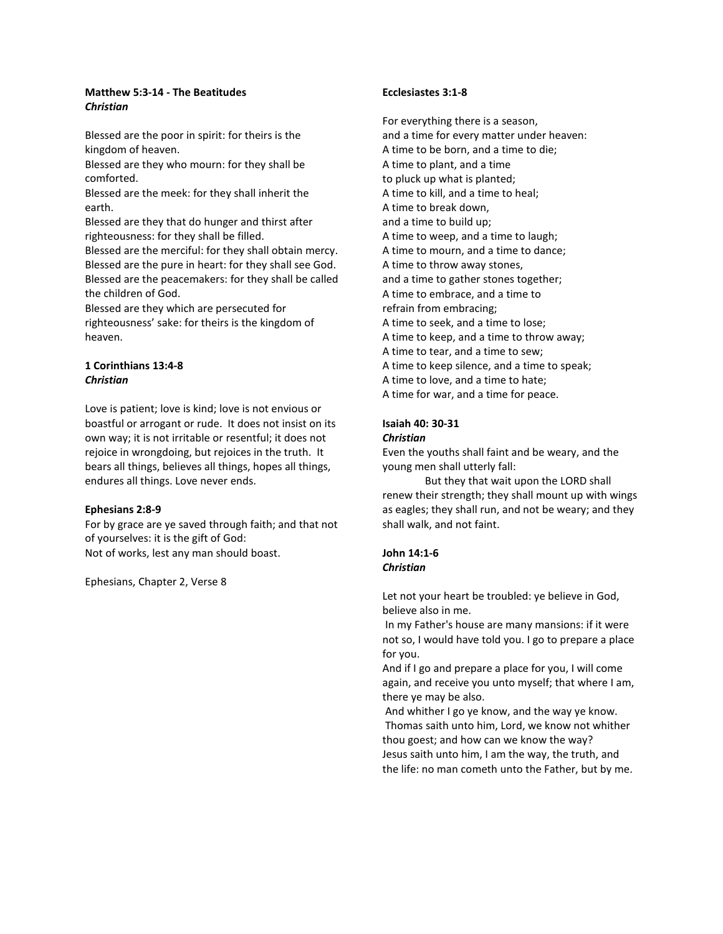#### **Matthew 5:3-14 - The Beatitudes** *Christian*

Blessed are the poor in spirit: for theirs is the kingdom of heaven.

Blessed are they who mourn: for they shall be comforted.

Blessed are the meek: for they shall inherit the earth.

Blessed are they that do hunger and thirst after righteousness: for they shall be filled.

Blessed are the merciful: for they shall obtain mercy. Blessed are the pure in heart: for they shall see God. Blessed are the peacemakers: for they shall be called the children of God.

Blessed are they which are persecuted for righteousness' sake: for theirs is the kingdom of heaven.

## **1 Corinthians 13:4-8** *Christian*

Love is patient; love is kind; love is not envious or boastful or arrogant or rude. It does not insist on its own way; it is not irritable or resentful; it does not rejoice in wrongdoing, but rejoices in the truth. It bears all things, believes all things, hopes all things, endures all things. Love never ends.

## **Ephesians 2:8-9**

For by grace are ye saved through faith; and that not of yourselves: it is the gift of God: Not of works, lest any man should boast.

Ephesians, Chapter 2, Verse 8

## **Ecclesiastes 3:1-8**

For everything there is a season, and a time for every matter under heaven: A time to be born, and a time to die; A time to plant, and a time to pluck up what is planted; A time to kill, and a time to heal; A time to break down, and a time to build up; A time to weep, and a time to laugh; A time to mourn, and a time to dance; A time to throw away stones, and a time to gather stones together; A time to embrace, and a time to refrain from embracing; A time to seek, and a time to lose; A time to keep, and a time to throw away; A time to tear, and a time to sew; A time to keep silence, and a time to speak; A time to love, and a time to hate; A time for war, and a time for peace.

#### **Isaiah 40: 30-31** *Christian*

Even the youths shall faint and be weary, and the young men shall utterly fall:

But they that wait upon the LORD shall renew their strength; they shall mount up with wings as eagles; they shall run, and not be weary; and they shall walk, and not faint.

## **John 14:1-6** *Christian*

Let not your heart be troubled: ye believe in God, believe also in me.

In my Father's house are many mansions: if it were not so, I would have told you. I go to prepare a place for you.

And if I go and prepare a place for you, I will come again, and receive you unto myself; that where I am, there ye may be also.

And whither I go ye know, and the way ye know. Thomas saith unto him, Lord, we know not whither thou goest; and how can we know the way? Jesus saith unto him, I am the way, the truth, and the life: no man cometh unto the Father, but by me.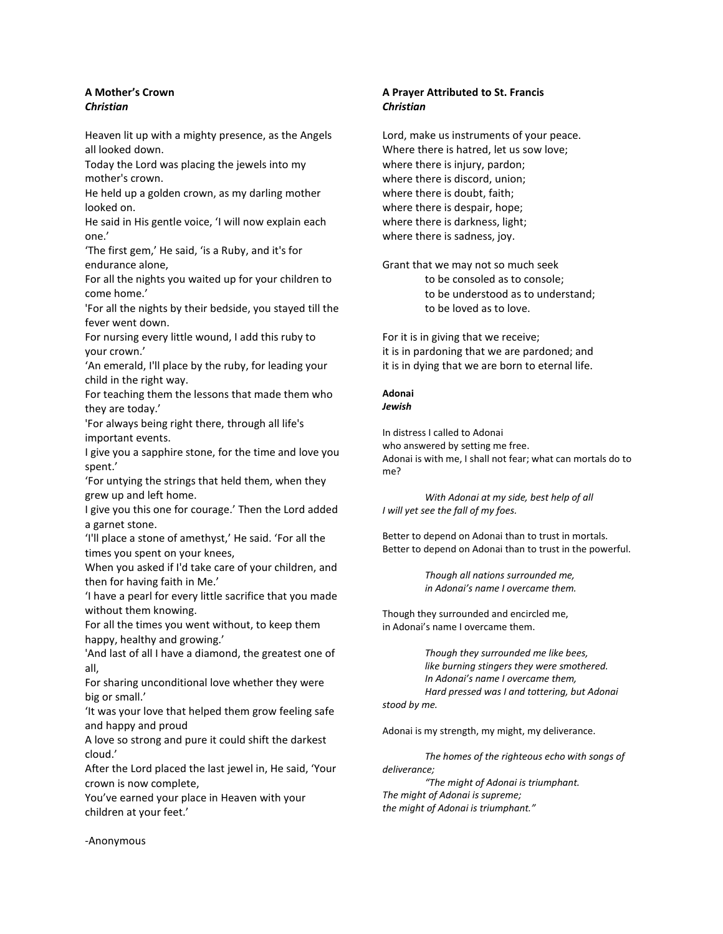#### **A Mother's Crown** *Christian*

Heaven lit up with a mighty presence, as the Angels all looked down.

Today the Lord was placing the jewels into my mother's crown.

He held up a golden crown, as my darling mother looked on.

He said in His gentle voice, 'I will now explain each one.'

'The first gem,' He said, 'is a Ruby, and it's for endurance alone,

For all the nights you waited up for your children to come home.'

'For all the nights by their bedside, you stayed till the fever went down.

For nursing every little wound, I add this ruby to your crown.'

'An emerald, I'll place by the ruby, for leading your child in the right way.

For teaching them the lessons that made them who they are today.'

'For always being right there, through all life's important events.

I give you a sapphire stone, for the time and love you spent.'

'For untying the strings that held them, when they grew up and left home.

I give you this one for courage.' Then the Lord added a garnet stone.

'I'll place a stone of amethyst,' He said. 'For all the times you spent on your knees,

When you asked if I'd take care of your children, and then for having faith in Me.'

'I have a pearl for every little sacrifice that you made without them knowing.

For all the times you went without, to keep them happy, healthy and growing.'

'And last of all I have a diamond, the greatest one of all,

For sharing unconditional love whether they were big or small.'

'It was your love that helped them grow feeling safe and happy and proud

A love so strong and pure it could shift the darkest cloud.'

After the Lord placed the last jewel in, He said, 'Your crown is now complete,

You've earned your place in Heaven with your children at your feet.'

## **A Prayer Attributed to St. Francis** *Christian*

Lord, make us instruments of your peace. Where there is hatred, let us sow love; where there is injury, pardon; where there is discord, union; where there is doubt, faith; where there is despair, hope; where there is darkness, light; where there is sadness, joy.

Grant that we may not so much seek to be consoled as to console; to be understood as to understand; to be loved as to love.

For it is in giving that we receive; it is in pardoning that we are pardoned; and it is in dying that we are born to eternal life.

## **Adonai**

## *Jewish*

In distress I called to Adonai who answered by setting me free. Adonai is with me, I shall not fear; what can mortals do to me?

*With Adonai at my side, best help of all I will yet see the fall of my foes.*

Better to depend on Adonai than to trust in mortals. Better to depend on Adonai than to trust in the powerful.

> *Though all nations surrounded me, in Adonai's name I overcame them.*

Though they surrounded and encircled me, in Adonai's name I overcame them.

*Though they surrounded me like bees, like burning stingers they were smothered. In Adonai's name I overcame them, Hard pressed was I and tottering, but Adonai stood by me.*

Adonai is my strength, my might, my deliverance.

*The homes of the righteous echo with songs of deliverance;*

*"The might of Adonai is triumphant. The might of Adonai is supreme; the might of Adonai is triumphant."*

-Anonymous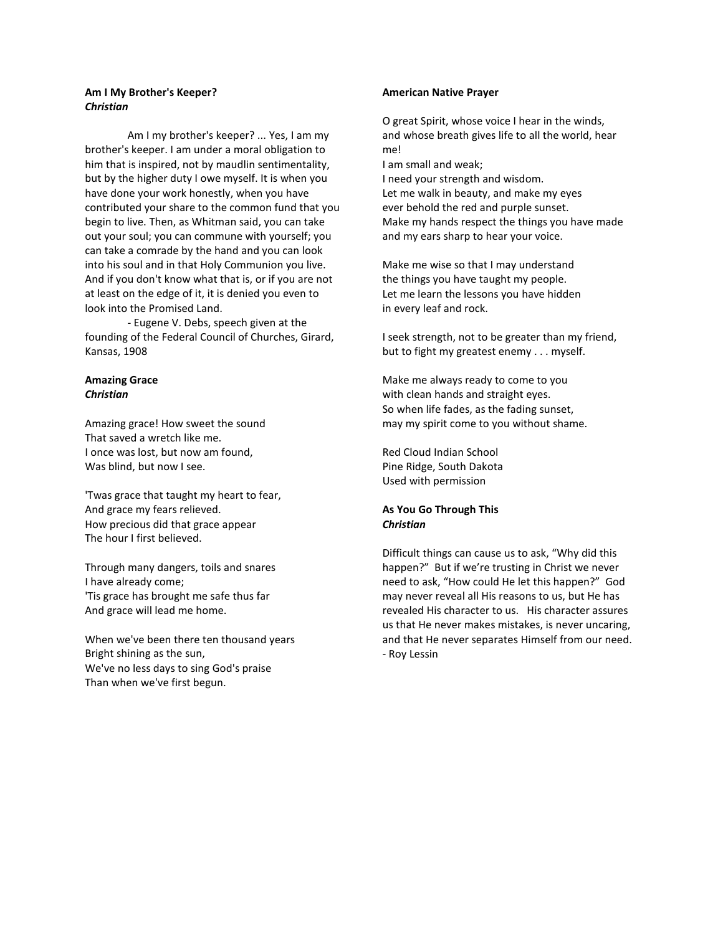#### **Am I My Brother's Keeper?** *Christian*

Am I my brother's keeper? ... Yes, I am my brother's keeper. I am under a moral obligation to him that is inspired, not by maudlin sentimentality, but by the higher duty I owe myself. It is when you have done your work honestly, when you have contributed your share to the common fund that you begin to live. Then, as Whitman said, you can take out your soul; you can commune with yourself; you can take a comrade by the hand and you can look into his soul and in that Holy Communion you live. And if you don't know what that is, or if you are not at least on the edge of it, it is denied you even to look into the Promised Land.

- Eugene V. Debs, speech given at the founding of the Federal Council of Churches, Girard, Kansas, 1908

### **Amazing Grace** *Christian*

Amazing grace! How sweet the sound That saved a wretch like me. I once was lost, but now am found, Was blind, but now I see.

'Twas grace that taught my heart to fear, And grace my fears relieved. How precious did that grace appear The hour I first believed.

Through many dangers, toils and snares I have already come; 'Tis grace has brought me safe thus far And grace will lead me home.

When we've been there ten thousand years Bright shining as the sun, We've no less days to sing God's praise Than when we've first begun.

#### **American Native Prayer**

O great Spirit, whose voice I hear in the winds, and whose breath gives life to all the world, hear me!

I am small and weak;

I need your strength and wisdom. Let me walk in beauty, and make my eyes ever behold the red and purple sunset. Make my hands respect the things you have made and my ears sharp to hear your voice.

Make me wise so that I may understand the things you have taught my people. Let me learn the lessons you have hidden in every leaf and rock.

I seek strength, not to be greater than my friend, but to fight my greatest enemy . . . myself.

Make me always ready to come to you with clean hands and straight eyes. So when life fades, as the fading sunset, may my spirit come to you without shame.

Red Cloud Indian School Pine Ridge, South Dakota Used with permission

#### **As You Go Through This** *Christian*

Difficult things can cause us to ask, "Why did this happen?" But if we're trusting in Christ we never need to ask, "How could He let this happen?" God may never reveal all His reasons to us, but He has revealed His character to us. His character assures us that He never makes mistakes, is never uncaring, and that He never separates Himself from our need. - Roy Lessin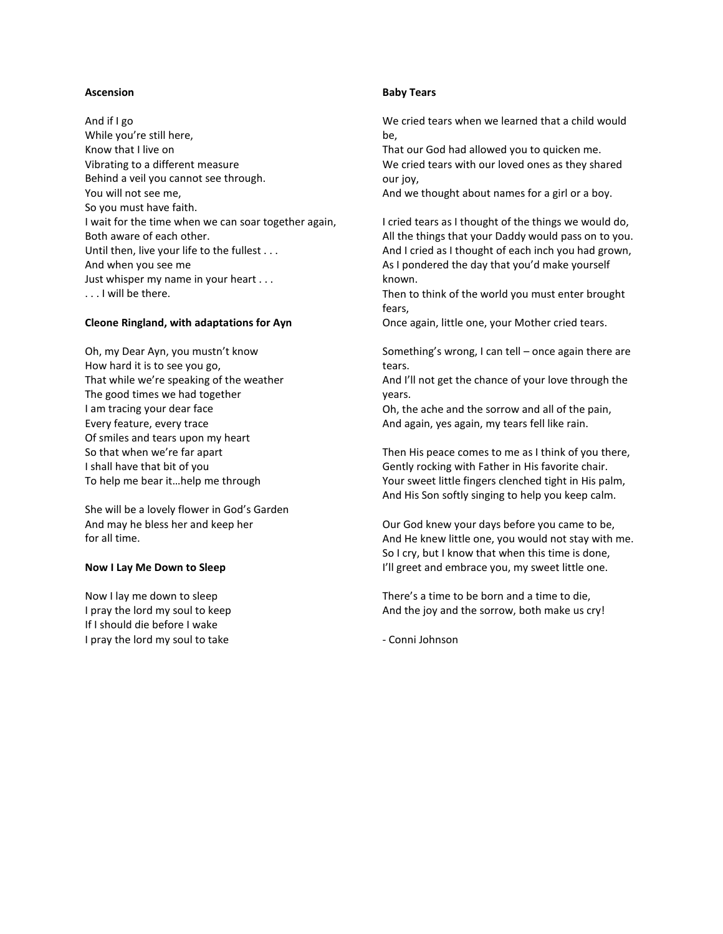#### **Ascension**

And if I go While you're still here, Know that I live on Vibrating to a different measure Behind a veil you cannot see through. You will not see me, So you must have faith. I wait for the time when we can soar together again, Both aware of each other. Until then, live your life to the fullest . . . And when you see me Just whisper my name in your heart . . . . . . I will be there.

#### **Cleone Ringland, with adaptations for Ayn**

Oh, my Dear Ayn, you mustn't know How hard it is to see you go, That while we're speaking of the weather The good times we had together I am tracing your dear face Every feature, every trace Of smiles and tears upon my heart So that when we're far apart I shall have that bit of you To help me bear it…help me through

She will be a lovely flower in God's Garden And may he bless her and keep her for all time.

#### **Now I Lay Me Down to Sleep**

Now I lay me down to sleep I pray the lord my soul to keep If I should die before I wake I pray the lord my soul to take

#### **Baby Tears**

We cried tears when we learned that a child would be,

That our God had allowed you to quicken me. We cried tears with our loved ones as they shared our joy,

And we thought about names for a girl or a boy.

I cried tears as I thought of the things we would do, All the things that your Daddy would pass on to you. And I cried as I thought of each inch you had grown, As I pondered the day that you'd make yourself known.

Then to think of the world you must enter brought fears,

Once again, little one, your Mother cried tears.

Something's wrong, I can tell – once again there are tears.

And I'll not get the chance of your love through the years.

Oh, the ache and the sorrow and all of the pain, And again, yes again, my tears fell like rain.

Then His peace comes to me as I think of you there, Gently rocking with Father in His favorite chair. Your sweet little fingers clenched tight in His palm, And His Son softly singing to help you keep calm.

Our God knew your days before you came to be, And He knew little one, you would not stay with me. So I cry, but I know that when this time is done, I'll greet and embrace you, my sweet little one.

There's a time to be born and a time to die, And the joy and the sorrow, both make us cry!

- Conni Johnson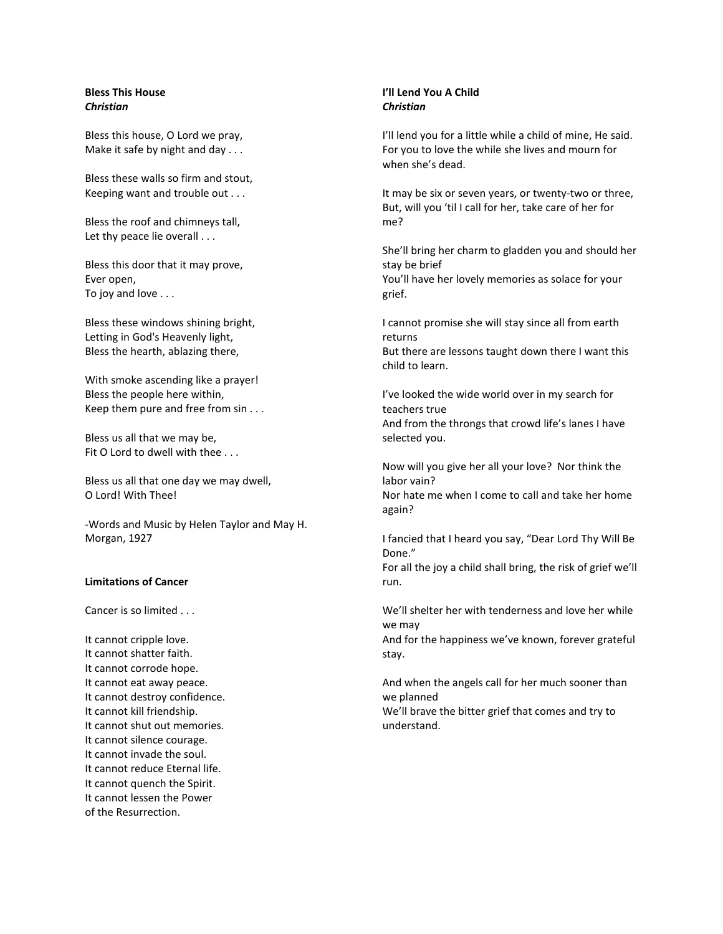## **Bless This House** *Christian*

Bless this house, O Lord we pray, Make it safe by night and day . . .

Bless these walls so firm and stout, Keeping want and trouble out . . .

Bless the roof and chimneys tall, Let thy peace lie overall . . .

Bless this door that it may prove, Ever open, To joy and love . . .

Bless these windows shining bright, Letting in God's Heavenly light, Bless the hearth, ablazing there,

With smoke ascending like a prayer! Bless the people here within, Keep them pure and free from sin . . .

Bless us all that we may be, Fit O Lord to dwell with thee . . .

Bless us all that one day we may dwell, O Lord! With Thee!

-Words and Music by Helen Taylor and May H. Morgan, 1927

#### **Limitations of Cancer**

Cancer is so limited . . .

It cannot cripple love. It cannot shatter faith. It cannot corrode hope. It cannot eat away peace. It cannot destroy confidence. It cannot kill friendship. It cannot shut out memories. It cannot silence courage. It cannot invade the soul. It cannot reduce Eternal life. It cannot quench the Spirit. It cannot lessen the Power of the Resurrection.

## **I'll Lend You A Child** *Christian*

I'll lend you for a little while a child of mine, He said. For you to love the while she lives and mourn for when she's dead.

It may be six or seven years, or twenty-two or three, But, will you 'til I call for her, take care of her for me?

She'll bring her charm to gladden you and should her stay be brief You'll have her lovely memories as solace for your grief.

I cannot promise she will stay since all from earth returns But there are lessons taught down there I want this child to learn.

I've looked the wide world over in my search for teachers true And from the throngs that crowd life's lanes I have selected you.

Now will you give her all your love? Nor think the labor vain?

Nor hate me when I come to call and take her home again?

I fancied that I heard you say, "Dear Lord Thy Will Be Done."

For all the joy a child shall bring, the risk of grief we'll run.

We'll shelter her with tenderness and love her while we may

And for the happiness we've known, forever grateful stay.

And when the angels call for her much sooner than we planned

We'll brave the bitter grief that comes and try to understand.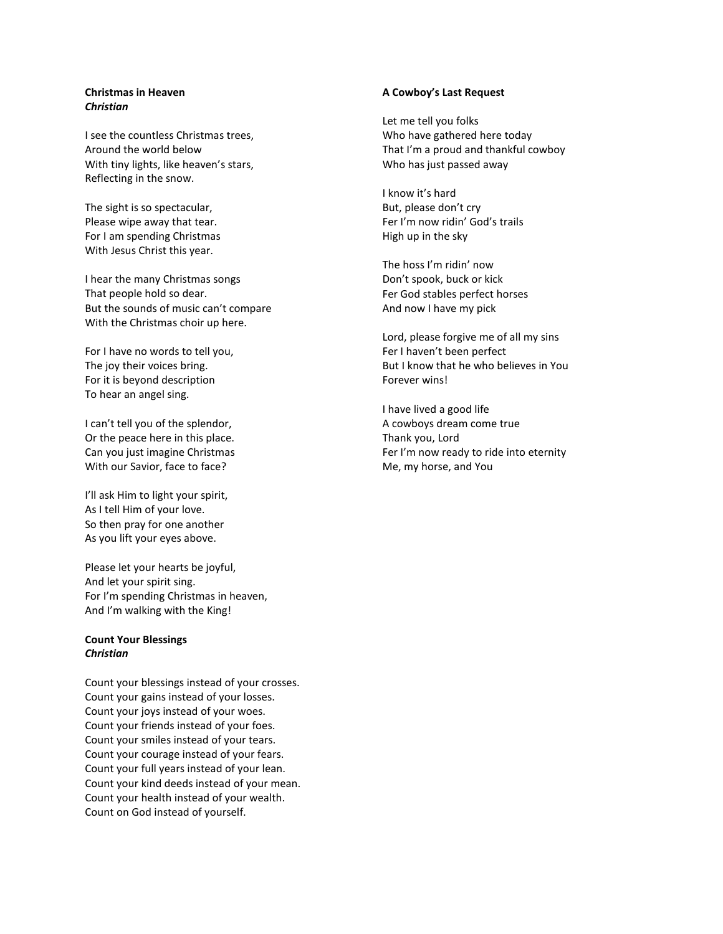#### **Christmas in Heaven** *Christian*

I see the countless Christmas trees, Around the world below With tiny lights, like heaven's stars, Reflecting in the snow.

The sight is so spectacular, Please wipe away that tear. For I am spending Christmas With Jesus Christ this year.

I hear the many Christmas songs That people hold so dear. But the sounds of music can't compare With the Christmas choir up here.

For I have no words to tell you, The joy their voices bring. For it is beyond description To hear an angel sing.

I can't tell you of the splendor, Or the peace here in this place. Can you just imagine Christmas With our Savior, face to face?

I'll ask Him to light your spirit, As I tell Him of your love. So then pray for one another As you lift your eyes above.

Please let your hearts be joyful, And let your spirit sing. For I'm spending Christmas in heaven, And I'm walking with the King!

#### **Count Your Blessings** *Christian*

Count your blessings instead of your crosses. Count your gains instead of your losses. Count your joys instead of your woes. Count your friends instead of your foes. Count your smiles instead of your tears. Count your courage instead of your fears. Count your full years instead of your lean. Count your kind deeds instead of your mean. Count your health instead of your wealth. Count on God instead of yourself.

#### **A Cowboy's Last Request**

Let me tell you folks Who have gathered here today That I'm a proud and thankful cowboy Who has just passed away

I know it's hard But, please don't cry Fer I'm now ridin' God's trails High up in the sky

The hoss I'm ridin' now Don't spook, buck or kick Fer God stables perfect horses And now I have my pick

Lord, please forgive me of all my sins Fer I haven't been perfect But I know that he who believes in You Forever wins!

I have lived a good life A cowboys dream come true Thank you, Lord Fer I'm now ready to ride into eternity Me, my horse, and You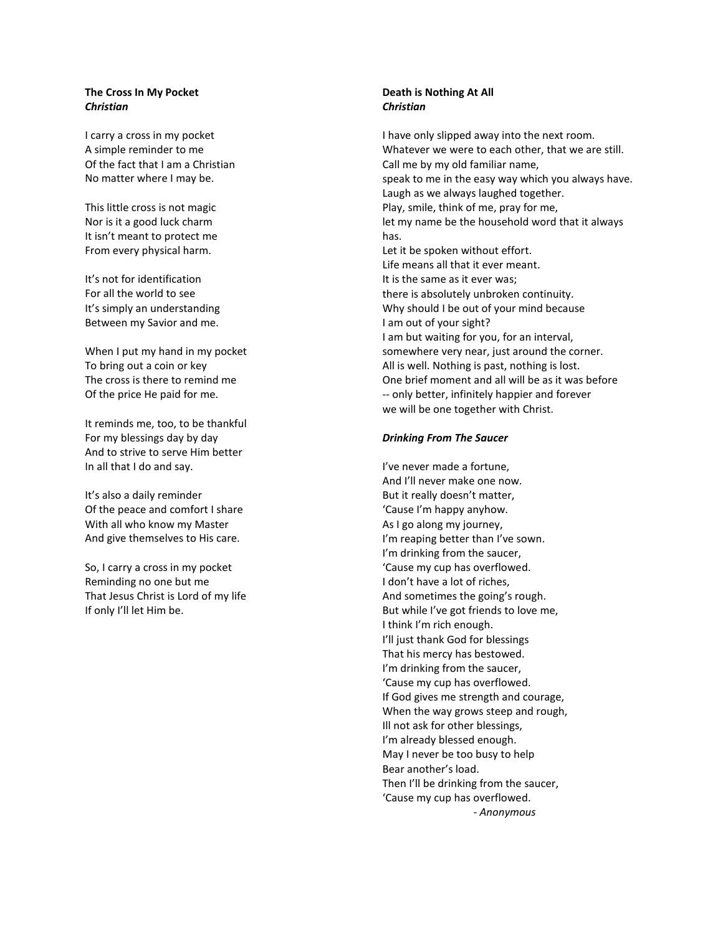#### **The Cross In My Pocket** *Christian*

I carry a cross in my pocket A simple reminder to me Of the fact that I am a Christian No matter where I may be.

This little cross is not magic Nor is it a good luck charm It isn't meant to protect me From every physical harm.

It's not for identification For all the world to see It's simply an understanding Between my Savior and me.

When I put my hand in my pocket To bring out a coin or key The cross is there to remind me Of the price He paid for me.

It reminds me, too, to be thankful For my blessings day by day And to strive to serve Him better In all that I do and say.

It's also a daily reminder Of the peace and comfort I share With all who know my Master And give themselves to His care.

So, I carry a cross in my pocket Reminding no one but me That Jesus Christ is Lord of my life If only I'll let Him be.

## **Death is Nothing At All** *Christian*

I have only slipped away into the next room. Whatever we were to each other, that we are still. Call me by my old familiar name, speak to me in the easy way which you always have. Laugh as we always laughed together. Play, smile, think of me, pray for me, let my name be the household word that it always has. Let it be spoken without effort. Life means all that it ever meant. It is the same as it ever was; there is absolutely unbroken continuity. Why should I be out of your mind because I am out of your sight? I am but waiting for you, for an interval, somewhere very near, just around the corner. All is well. Nothing is past, nothing is lost. One brief moment and all will be as it was before -- only better, infinitely happier and forever we will be one together with Christ.

#### *Drinking From The Saucer*

I've never made a fortune, And I'll never make one now. But it really doesn't matter, 'Cause I'm happy anyhow. As I go along my journey, I'm reaping better than I've sown. I'm drinking from the saucer, 'Cause my cup has overflowed. I don't have a lot of riches, And sometimes the going's rough. But while I've got friends to love me, I think I'm rich enough. I'll just thank God for blessings That his mercy has bestowed. I'm drinking from the saucer, 'Cause my cup has overflowed. If God gives me strength and courage, When the way grows steep and rough, Ill not ask for other blessings, I'm already blessed enough. May I never be too busy to help Bear another's load. Then I'll be drinking from the saucer, 'Cause my cup has overflowed.  *- Anonymous*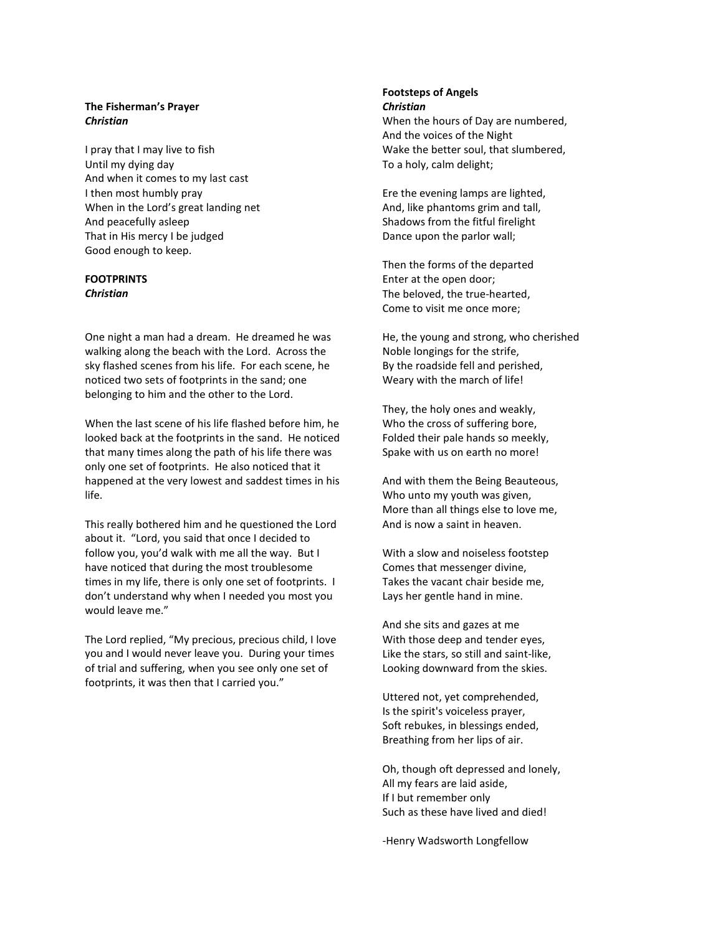#### **The Fisherman's Prayer** *Christian*

I pray that I may live to fish Until my dying day And when it comes to my last cast I then most humbly pray When in the Lord's great landing net And peacefully asleep That in His mercy I be judged Good enough to keep.

#### **FOOTPRINTS** *Christian*

One night a man had a dream. He dreamed he was walking along the beach with the Lord. Across the sky flashed scenes from his life. For each scene, he noticed two sets of footprints in the sand; one belonging to him and the other to the Lord.

When the last scene of his life flashed before him, he looked back at the footprints in the sand. He noticed that many times along the path of his life there was only one set of footprints. He also noticed that it happened at the very lowest and saddest times in his life.

This really bothered him and he questioned the Lord about it. "Lord, you said that once I decided to follow you, you'd walk with me all the way. But I have noticed that during the most troublesome times in my life, there is only one set of footprints. I don't understand why when I needed you most you would leave me."

The Lord replied, "My precious, precious child, I love you and I would never leave you. During your times of trial and suffering, when you see only one set of footprints, it was then that I carried you."

#### **Footsteps of Angels** *Christian*

When the hours of Day are numbered, And the voices of the Night Wake the better soul, that slumbered, To a holy, calm delight;

Ere the evening lamps are lighted, And, like phantoms grim and tall, Shadows from the fitful firelight Dance upon the parlor wall;

Then the forms of the departed Enter at the open door; The beloved, the true-hearted, Come to visit me once more;

He, the young and strong, who cherished Noble longings for the strife, By the roadside fell and perished, Weary with the march of life!

They, the holy ones and weakly, Who the cross of suffering bore, Folded their pale hands so meekly, Spake with us on earth no more!

And with them the Being Beauteous, Who unto my youth was given, More than all things else to love me, And is now a saint in heaven.

With a slow and noiseless footstep Comes that messenger divine, Takes the vacant chair beside me, Lays her gentle hand in mine.

And she sits and gazes at me With those deep and tender eyes, Like the stars, so still and saint-like, Looking downward from the skies.

Uttered not, yet comprehended, Is the spirit's voiceless prayer, Soft rebukes, in blessings ended, Breathing from her lips of air.

Oh, though oft depressed and lonely, All my fears are laid aside, If I but remember only Such as these have lived and died!

-Henry Wadsworth Longfellow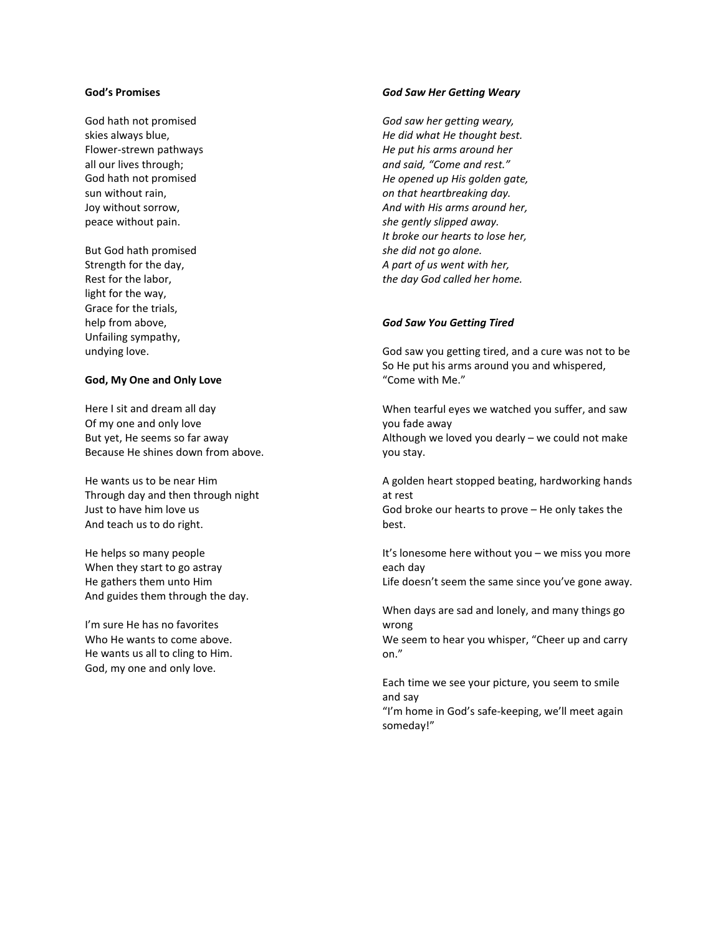#### **God's Promises**

God hath not promised skies always blue, Flower-strewn pathways all our lives through; God hath not promised sun without rain, Joy without sorrow, peace without pain.

But God hath promised Strength for the day, Rest for the labor, light for the way, Grace for the trials, help from above, Unfailing sympathy, undying love.

#### **God, My One and Only Love**

Here I sit and dream all day Of my one and only love But yet, He seems so far away Because He shines down from above.

He wants us to be near Him Through day and then through night Just to have him love us And teach us to do right.

He helps so many people When they start to go astray He gathers them unto Him And guides them through the day.

I'm sure He has no favorites Who He wants to come above. He wants us all to cling to Him. God, my one and only love.

#### *God Saw Her Getting Weary*

*God saw her getting weary, He did what He thought best. He put his arms around her and said, "Come and rest." He opened up His golden gate, on that heartbreaking day. And with His arms around her, she gently slipped away. It broke our hearts to lose her, she did not go alone. A part of us went with her, the day God called her home.*

#### *God Saw You Getting Tired*

God saw you getting tired, and a cure was not to be So He put his arms around you and whispered, "Come with Me."

When tearful eyes we watched you suffer, and saw you fade away Although we loved you dearly – we could not make you stay.

A golden heart stopped beating, hardworking hands at rest

God broke our hearts to prove – He only takes the best.

It's lonesome here without you – we miss you more each day Life doesn't seem the same since you've gone away.

When days are sad and lonely, and many things go wrong

We seem to hear you whisper, "Cheer up and carry on."

Each time we see your picture, you seem to smile and say

"I'm home in God's safe-keeping, we'll meet again someday!"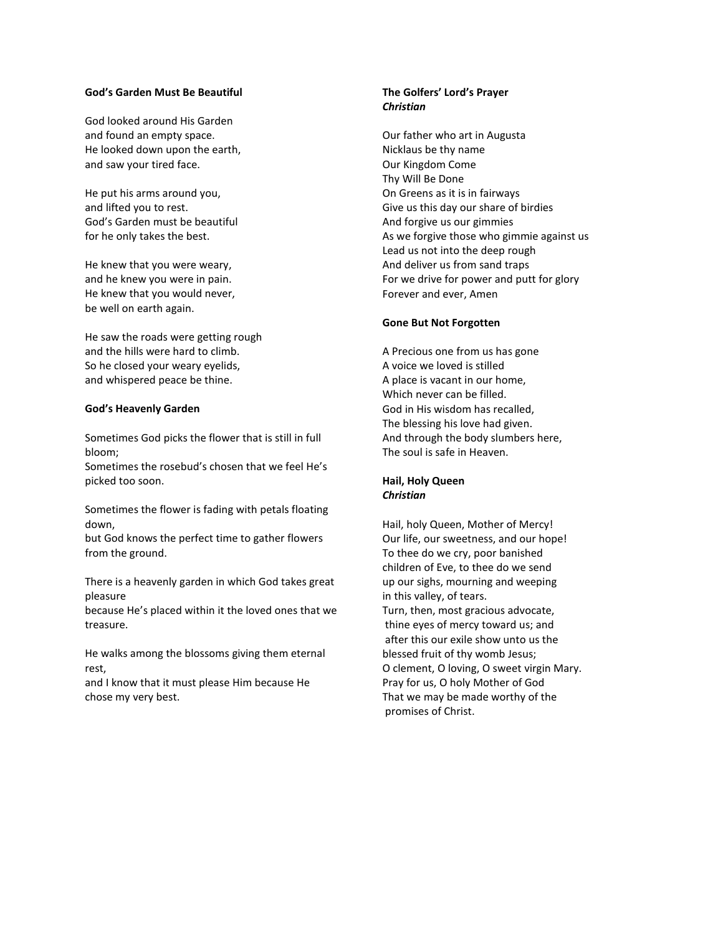#### **God's Garden Must Be Beautiful**

God looked around His Garden and found an empty space. He looked down upon the earth, and saw your tired face.

He put his arms around you, and lifted you to rest. God's Garden must be beautiful for he only takes the best.

He knew that you were weary, and he knew you were in pain. He knew that you would never, be well on earth again.

He saw the roads were getting rough and the hills were hard to climb. So he closed your weary eyelids, and whispered peace be thine.

#### **God's Heavenly Garden**

Sometimes God picks the flower that is still in full bloom;

Sometimes the rosebud's chosen that we feel He's picked too soon.

Sometimes the flower is fading with petals floating down,

but God knows the perfect time to gather flowers from the ground.

There is a heavenly garden in which God takes great pleasure

because He's placed within it the loved ones that we treasure.

He walks among the blossoms giving them eternal rest,

and I know that it must please Him because He chose my very best.

## **The Golfers' Lord's Prayer** *Christian*

Our father who art in Augusta Nicklaus be thy name Our Kingdom Come Thy Will Be Done On Greens as it is in fairways Give us this day our share of birdies And forgive us our gimmies As we forgive those who gimmie against us Lead us not into the deep rough And deliver us from sand traps For we drive for power and putt for glory Forever and ever, Amen

#### **Gone But Not Forgotten**

A Precious one from us has gone A voice we loved is stilled A place is vacant in our home, Which never can be filled. God in His wisdom has recalled, The blessing his love had given. And through the body slumbers here, The soul is safe in Heaven.

## **Hail, Holy Queen** *Christian*

Hail, holy Queen, Mother of Mercy! Our life, our sweetness, and our hope! To thee do we cry, poor banished children of Eve, to thee do we send up our sighs, mourning and weeping in this valley, of tears.

Turn, then, most gracious advocate, thine eyes of mercy toward us; and after this our exile show unto us the blessed fruit of thy womb Jesus; O clement, O loving, O sweet virgin Mary. Pray for us, O holy Mother of God That we may be made worthy of the promises of Christ.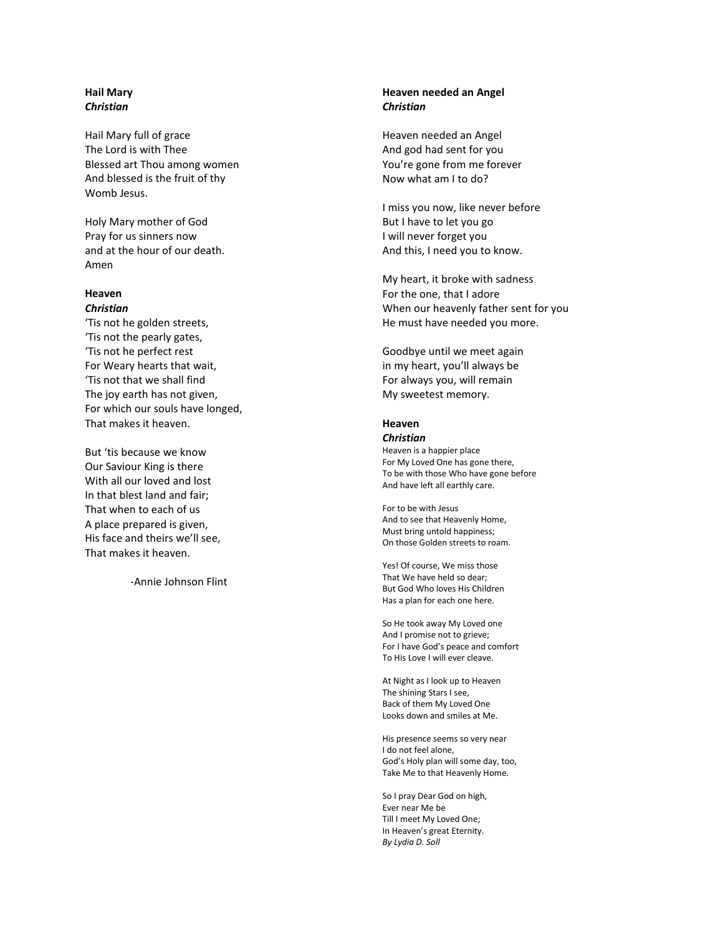#### **Hail Mary** *Christian*

Hail Mary full of grace The Lord is with Thee Blessed art Thou among women And blessed is the fruit of thy Womb Jesus.

Holy Mary mother of God Pray for us sinners now and at the hour of our death. Amen

## **Heaven**

## *Christian*

'Tis not he golden streets, 'Tis not the pearly gates, 'Tis not he perfect rest For Weary hearts that wait, 'Tis not that we shall find The joy earth has not given, For which our souls have longed, That makes it heaven.

But 'tis because we know Our Saviour King is there With all our loved and lost In that blest land and fair; That when to each of us A place prepared is given, His face and theirs we'll see, That makes it heaven.

-Annie Johnson Flint

### **Heaven needed an Angel** *Christian*

Heaven needed an Angel And god had sent for you You're gone from me forever Now what am I to do?

I miss you now, like never before But I have to let you go I will never forget you And this, I need you to know.

My heart, it broke with sadness For the one, that I adore When our heavenly father sent for you He must have needed you more.

Goodbye until we meet again in my heart, you'll always be For always you, will remain My sweetest memory.

#### **Heaven**

#### *Christian*

Heaven is a happier place For My Loved One has gone there, To be with those Who have gone before And have left all earthly care.

For to be with Jesus And to see that Heavenly Home, Must bring untold happiness; On those Golden streets to roam.

Yes! Of course, We miss those That We have held so dear; But God Who loves His Children Has a plan for each one here.

So He took away My Loved one And I promise not to grieve; For I have God's peace and comfort To His Love I will ever cleave.

At Night as I look up to Heaven The shining Stars I see, Back of them My Loved One Looks down and smiles at Me.

His presence seems so very near I do not feel alone, God's Holy plan will some day, too, Take Me to that Heavenly Home.

So I pray Dear God on high, Ever near Me be Till I meet My Loved One; In Heaven's great Eternity. *By Lydia D. Soll*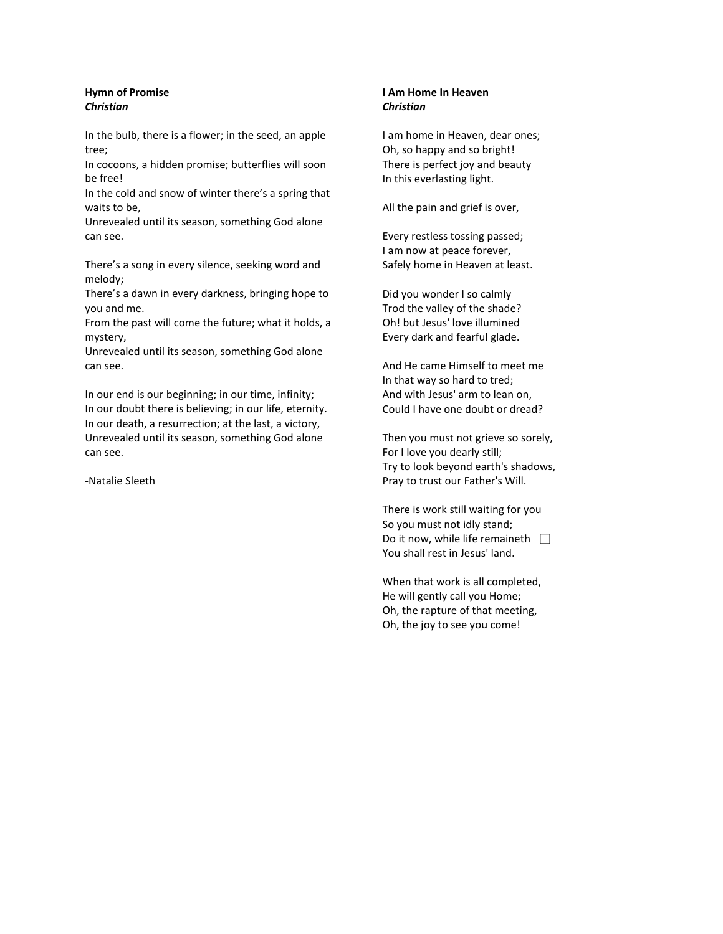## **Hymn of Promise** *Christian*

In the bulb, there is a flower; in the seed, an apple tree;

In cocoons, a hidden promise; butterflies will soon be free!

In the cold and snow of winter there's a spring that waits to be,

Unrevealed until its season, something God alone can see.

There's a song in every silence, seeking word and melody;

There's a dawn in every darkness, bringing hope to you and me.

From the past will come the future; what it holds, a mystery,

Unrevealed until its season, something God alone can see.

In our end is our beginning; in our time, infinity; In our doubt there is believing; in our life, eternity. In our death, a resurrection; at the last, a victory, Unrevealed until its season, something God alone can see.

-Natalie Sleeth

## **I Am Home In Heaven** *Christian*

I am home in Heaven, dear ones; Oh, so happy and so bright! There is perfect joy and beauty In this everlasting light.

All the pain and grief is over,

Every restless tossing passed; I am now at peace forever, Safely home in Heaven at least.

Did you wonder I so calmly Trod the valley of the shade? Oh! but Jesus' love illumined Every dark and fearful glade.

And He came Himself to meet me In that way so hard to tred; And with Jesus' arm to lean on, Could I have one doubt or dread?

Then you must not grieve so sorely, For I love you dearly still; Try to look beyond earth's shadows, Pray to trust our Father's Will.

There is work still waiting for you So you must not idly stand; Do it now, while life remaineth  $\Box$ You shall rest in Jesus' land.

When that work is all completed, He will gently call you Home; Oh, the rapture of that meeting, Oh, the joy to see you come!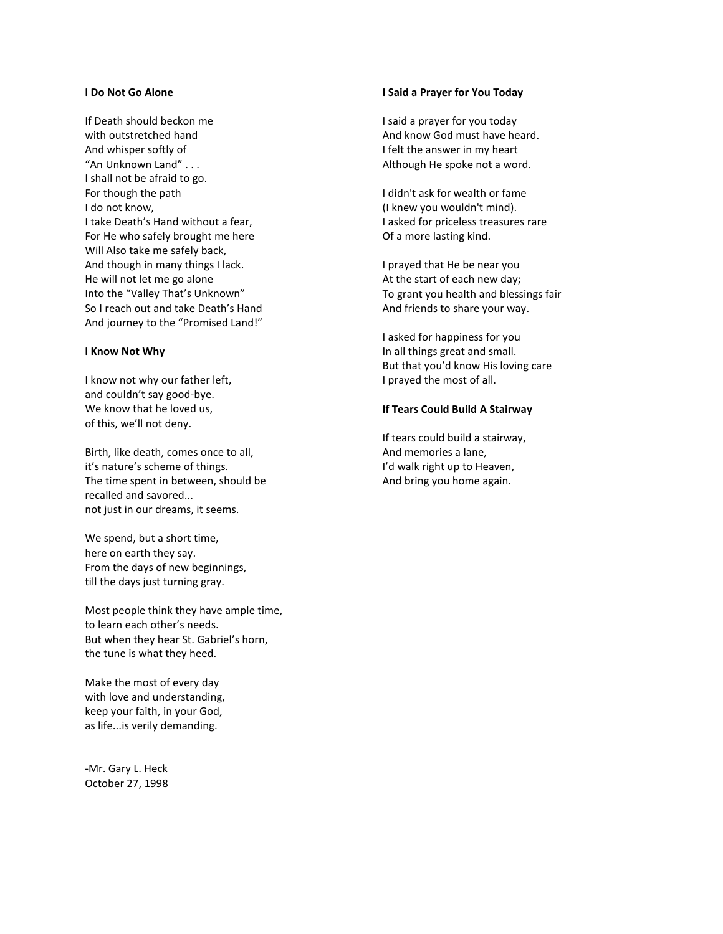#### **I Do Not Go Alone**

If Death should beckon me with outstretched hand And whisper softly of "An Unknown Land" . . . I shall not be afraid to go. For though the path I do not know, I take Death's Hand without a fear, For He who safely brought me here Will Also take me safely back, And though in many things I lack. He will not let me go alone Into the "Valley That's Unknown" So I reach out and take Death's Hand And journey to the "Promised Land!"

#### **I Know Not Why**

I know not why our father left, and couldn't say good-bye. We know that he loved us, of this, we'll not deny.

Birth, like death, comes once to all, it's nature's scheme of things. The time spent in between, should be recalled and savored... not just in our dreams, it seems.

We spend, but a short time, here on earth they say. From the days of new beginnings, till the days just turning gray.

Most people think they have ample time, to learn each other's needs. But when they hear St. Gabriel's horn, the tune is what they heed.

Make the most of every day with love and understanding, keep your faith, in your God, as life...is verily demanding.

-Mr. Gary L. Heck October 27, 1998

#### **I Said a Prayer for You Today**

I said a prayer for you today And know God must have heard. I felt the answer in my heart Although He spoke not a word.

I didn't ask for wealth or fame (I knew you wouldn't mind). I asked for priceless treasures rare Of a more lasting kind.

I prayed that He be near you At the start of each new day; To grant you health and blessings fair And friends to share your way.

I asked for happiness for you In all things great and small. But that you'd know His loving care I prayed the most of all.

#### **If Tears Could Build A Stairway**

If tears could build a stairway, And memories a lane, I'd walk right up to Heaven, And bring you home again.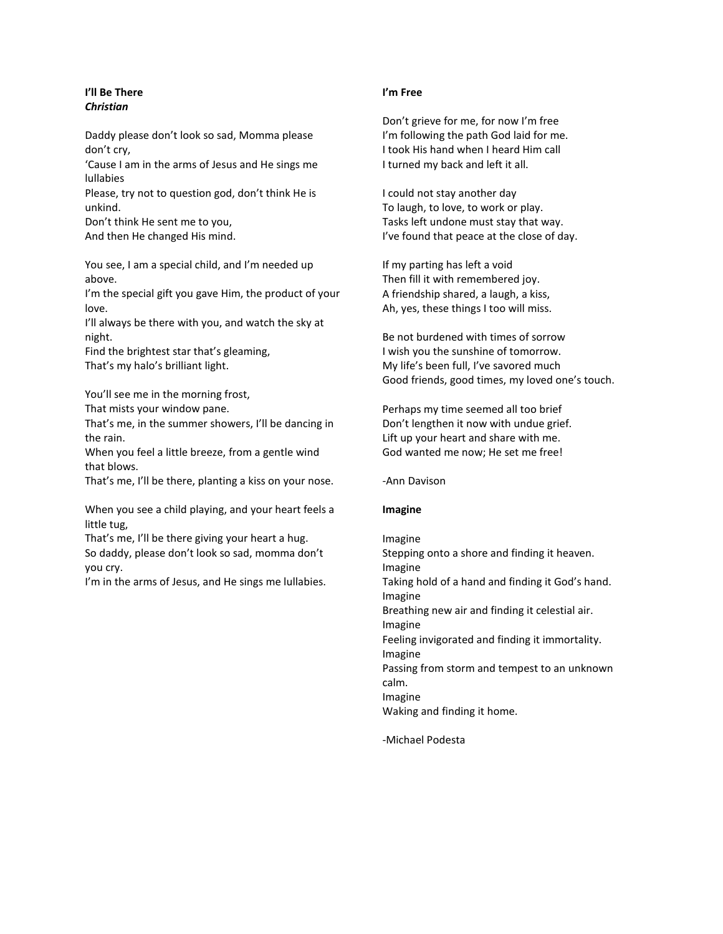## **I'll Be There** *Christian*

Daddy please don't look so sad, Momma please don't cry,

'Cause I am in the arms of Jesus and He sings me lullabies

Please, try not to question god, don't think He is unkind.

Don't think He sent me to you, And then He changed His mind.

You see, I am a special child, and I'm needed up above.

I'm the special gift you gave Him, the product of your love.

I'll always be there with you, and watch the sky at night.

Find the brightest star that's gleaming, That's my halo's brilliant light.

You'll see me in the morning frost,

That mists your window pane.

That's me, in the summer showers, I'll be dancing in the rain.

When you feel a little breeze, from a gentle wind that blows.

That's me, I'll be there, planting a kiss on your nose.

When you see a child playing, and your heart feels a little tug,

That's me, I'll be there giving your heart a hug. So daddy, please don't look so sad, momma don't you cry.

I'm in the arms of Jesus, and He sings me lullabies.

## **I'm Free**

Don't grieve for me, for now I'm free I'm following the path God laid for me. I took His hand when I heard Him call I turned my back and left it all.

I could not stay another day To laugh, to love, to work or play. Tasks left undone must stay that way. I've found that peace at the close of day.

If my parting has left a void Then fill it with remembered joy. A friendship shared, a laugh, a kiss, Ah, yes, these things I too will miss.

Be not burdened with times of sorrow I wish you the sunshine of tomorrow. My life's been full, I've savored much Good friends, good times, my loved one's touch.

Perhaps my time seemed all too brief Don't lengthen it now with undue grief. Lift up your heart and share with me. God wanted me now; He set me free!

-Ann Davison

## **Imagine**

Imagine Stepping onto a shore and finding it heaven. Imagine Taking hold of a hand and finding it God's hand. Imagine Breathing new air and finding it celestial air. Imagine Feeling invigorated and finding it immortality. Imagine Passing from storm and tempest to an unknown calm. Imagine Waking and finding it home.

-Michael Podesta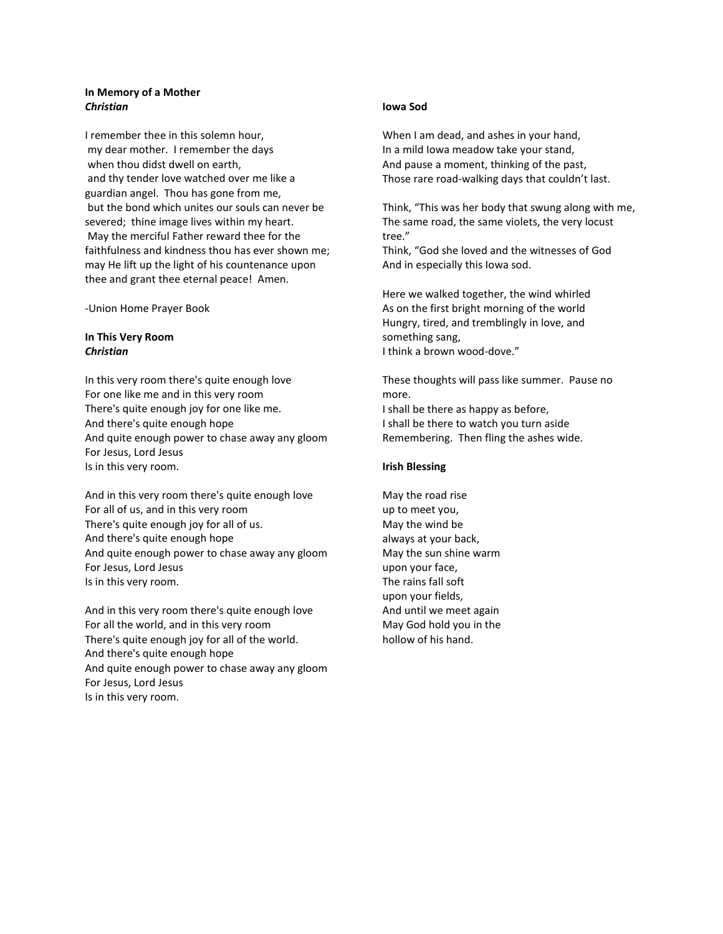#### **In Memory of a Mother** *Christian*

I remember thee in this solemn hour, my dear mother. I remember the days when thou didst dwell on earth, and thy tender love watched over me like a guardian angel. Thou has gone from me, but the bond which unites our souls can never be severed; thine image lives within my heart. May the merciful Father reward thee for the faithfulness and kindness thou has ever shown me; may He lift up the light of his countenance upon thee and grant thee eternal peace! Amen.

-Union Home Prayer Book

#### **In This Very Room** *Christian*

In this very room there's quite enough love For one like me and in this very room There's quite enough joy for one like me. And there's quite enough hope And quite enough power to chase away any gloom For Jesus, Lord Jesus Is in this very room.

And in this very room there's quite enough love For all of us, and in this very room There's quite enough joy for all of us. And there's quite enough hope And quite enough power to chase away any gloom For Jesus, Lord Jesus Is in this very room.

And in this very room there's quite enough love For all the world, and in this very room There's quite enough joy for all of the world. And there's quite enough hope And quite enough power to chase away any gloom For Jesus, Lord Jesus Is in this very room.

#### **Iowa Sod**

When I am dead, and ashes in your hand, In a mild Iowa meadow take your stand, And pause a moment, thinking of the past, Those rare road-walking days that couldn't last.

Think, "This was her body that swung along with me, The same road, the same violets, the very locust tree."

Think, "God she loved and the witnesses of God And in especially this Iowa sod.

Here we walked together, the wind whirled As on the first bright morning of the world Hungry, tired, and tremblingly in love, and something sang, I think a brown wood-dove."

These thoughts will pass like summer. Pause no more.

I shall be there as happy as before, I shall be there to watch you turn aside Remembering. Then fling the ashes wide.

## **Irish Blessing**

May the road rise up to meet you, May the wind be always at your back, May the sun shine warm upon your face, The rains fall soft upon your fields, And until we meet again May God hold you in the hollow of his hand.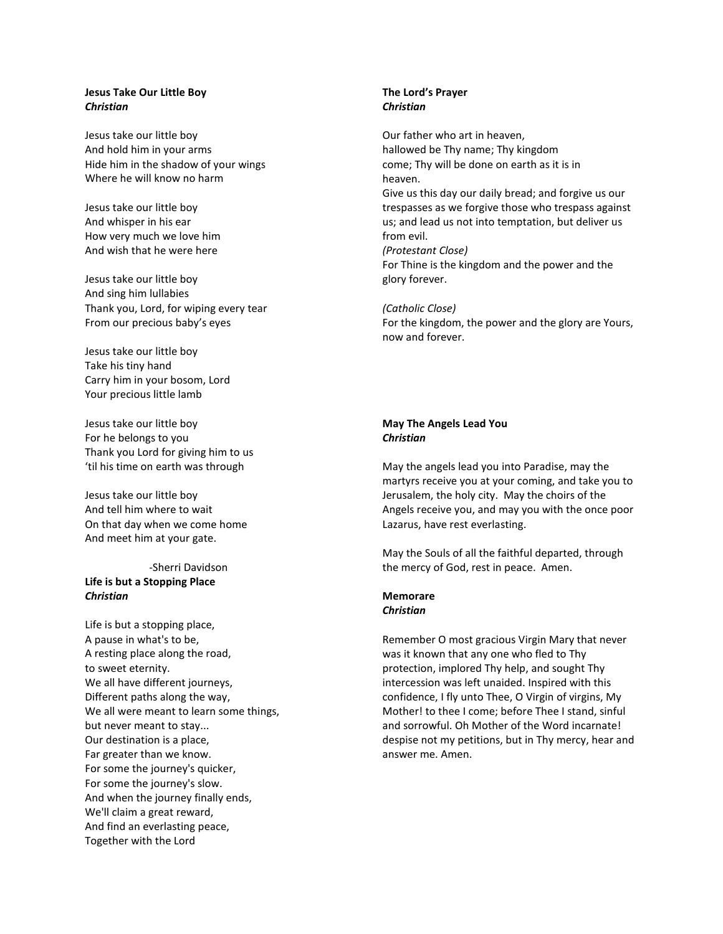#### **Jesus Take Our Little Boy** *Christian*

Jesus take our little boy And hold him in your arms Hide him in the shadow of your wings Where he will know no harm

Jesus take our little boy And whisper in his ear How very much we love him And wish that he were here

Jesus take our little boy And sing him lullabies Thank you, Lord, for wiping every tear From our precious baby's eyes

Jesus take our little boy Take his tiny hand Carry him in your bosom, Lord Your precious little lamb

Jesus take our little boy For he belongs to you Thank you Lord for giving him to us 'til his time on earth was through

Jesus take our little boy And tell him where to wait On that day when we come home And meet him at your gate.

 -Sherri Davidson **Life is but a Stopping Place** *Christian*

Life is but a stopping place, A pause in what's to be, A resting place along the road, to sweet eternity. We all have different journeys, Different paths along the way, We all were meant to learn some things, but never meant to stay... Our destination is a place, Far greater than we know. For some the journey's quicker, For some the journey's slow. And when the journey finally ends, We'll claim a great reward, And find an everlasting peace, Together with the Lord

#### **The Lord's Prayer** *Christian*

Our father who art in heaven, hallowed be Thy name; Thy kingdom come; Thy will be done on earth as it is in heaven.

Give us this day our daily bread; and forgive us our trespasses as we forgive those who trespass against us; and lead us not into temptation, but deliver us from evil.

*(Protestant Close)* For Thine is the kingdom and the power and the glory forever.

*(Catholic Close)* For the kingdom, the power and the glory are Yours, now and forever.

### **May The Angels Lead You** *Christian*

May the angels lead you into Paradise, may the martyrs receive you at your coming, and take you to Jerusalem, the holy city. May the choirs of the Angels receive you, and may you with the once poor Lazarus, have rest everlasting.

May the Souls of all the faithful departed, through the mercy of God, rest in peace. Amen.

#### **Memorare** *Christian*

Remember O most gracious Virgin Mary that never was it known that any one who fled to Thy protection, implored Thy help, and sought Thy intercession was left unaided. Inspired with this confidence, I fly unto Thee, O Virgin of virgins, My Mother! to thee I come; before Thee I stand, sinful and sorrowful. Oh Mother of the Word incarnate! despise not my petitions, but in Thy mercy, hear and answer me. Amen.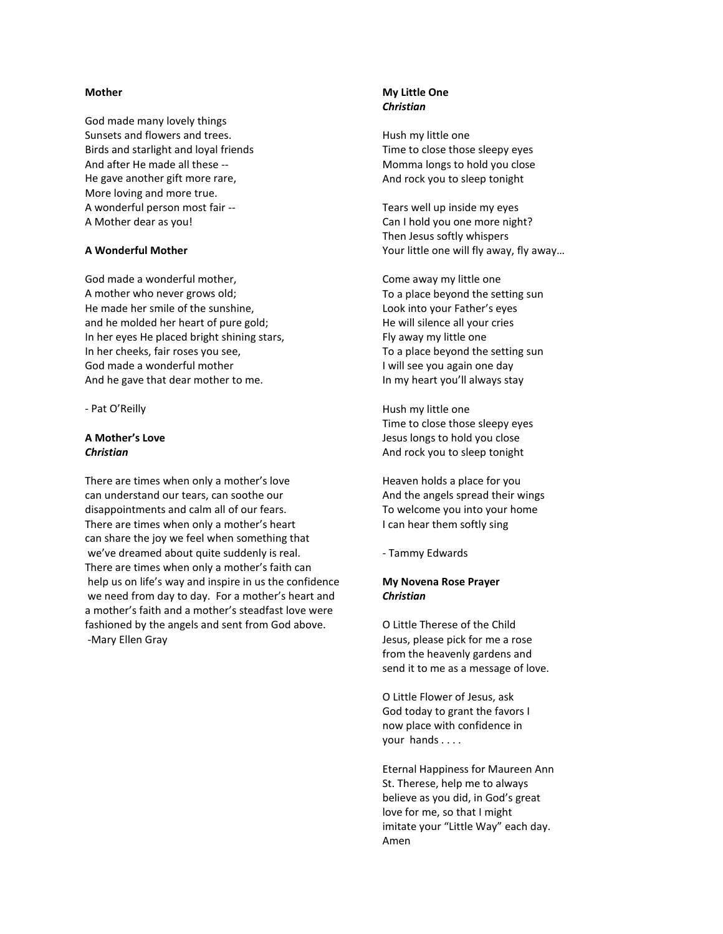#### **Mother**

God made many lovely things Sunsets and flowers and trees. Birds and starlight and loyal friends And after He made all these -- He gave another gift more rare, More loving and more true. A wonderful person most fair -- A Mother dear as you!

#### **A Wonderful Mother**

God made a wonderful mother, A mother who never grows old; He made her smile of the sunshine, and he molded her heart of pure gold; In her eyes He placed bright shining stars, In her cheeks, fair roses you see, God made a wonderful mother And he gave that dear mother to me.

- Pat O'Reilly

## **A Mother's Love** *Christian*

There are times when only a mother's love can understand our tears, can soothe our disappointments and calm all of our fears. There are times when only a mother's heart can share the joy we feel when something that we've dreamed about quite suddenly is real. There are times when only a mother's faith can help us on life's way and inspire in us the confidence we need from day to day. For a mother's heart and a mother's faith and a mother's steadfast love were fashioned by the angels and sent from God above. -Mary Ellen Gray

## **My Little One** *Christian*

Hush my little one Time to close those sleepy eyes Momma longs to hold you close And rock you to sleep tonight

Tears well up inside my eyes Can I hold you one more night? Then Jesus softly whispers Your little one will fly away, fly away…

Come away my little one To a place beyond the setting sun Look into your Father's eyes He will silence all your cries Fly away my little one To a place beyond the setting sun I will see you again one day In my heart you'll always stay

Hush my little one Time to close those sleepy eyes Jesus longs to hold you close And rock you to sleep tonight

Heaven holds a place for you And the angels spread their wings To welcome you into your home I can hear them softly sing

- Tammy Edwards

#### **My Novena Rose Prayer** *Christian*

O Little Therese of the Child Jesus, please pick for me a rose from the heavenly gardens and send it to me as a message of love.

O Little Flower of Jesus, ask God today to grant the favors I now place with confidence in your hands . . . .

Eternal Happiness for Maureen Ann St. Therese, help me to always believe as you did, in God's great love for me, so that I might imitate your "Little Way" each day. Amen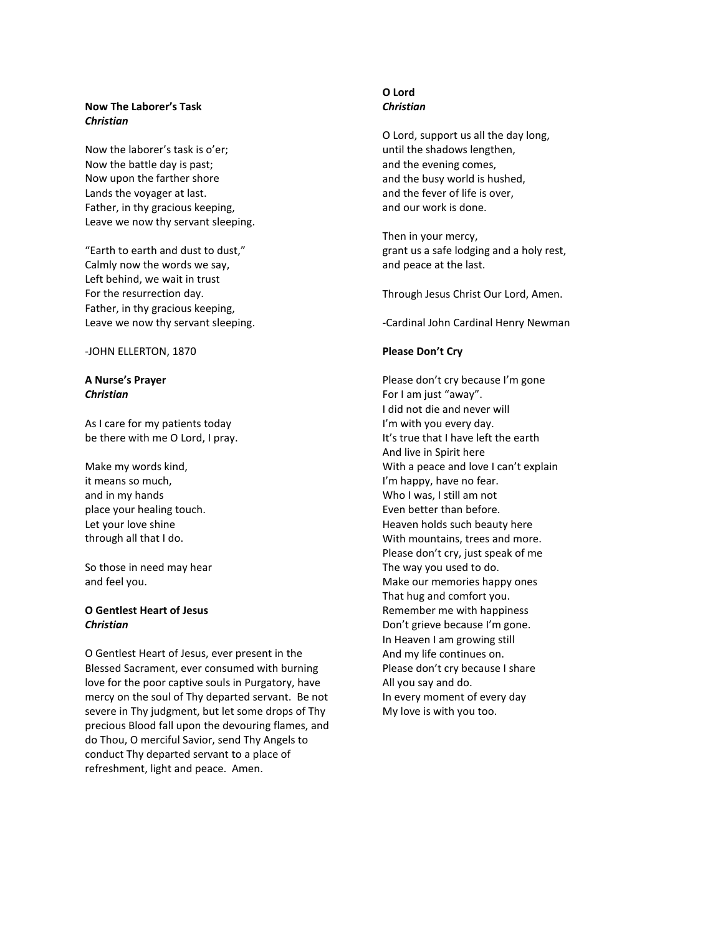## **Now The Laborer's Task** *Christian*

Now the laborer's task is o'er; Now the battle day is past; Now upon the farther shore Lands the voyager at last. Father, in thy gracious keeping, Leave we now thy servant sleeping.

"Earth to earth and dust to dust," Calmly now the words we say, Left behind, we wait in trust For the resurrection day. Father, in thy gracious keeping, Leave we now thy servant sleeping.

#### -JOHN ELLERTON, 1870

## **A Nurse's Prayer** *Christian*

As I care for my patients today be there with me O Lord, I pray.

Make my words kind, it means so much, and in my hands place your healing touch. Let your love shine through all that I do.

So those in need may hear and feel you.

## **O Gentlest Heart of Jesus**  *Christian*

O Gentlest Heart of Jesus, ever present in the Blessed Sacrament, ever consumed with burning love for the poor captive souls in Purgatory, have mercy on the soul of Thy departed servant. Be not severe in Thy judgment, but let some drops of Thy precious Blood fall upon the devouring flames, and do Thou, O merciful Savior, send Thy Angels to conduct Thy departed servant to a place of refreshment, light and peace. Amen.

## **O Lord** *Christian*

O Lord, support us all the day long, until the shadows lengthen, and the evening comes, and the busy world is hushed, and the fever of life is over, and our work is done.

Then in your mercy, grant us a safe lodging and a holy rest, and peace at the last.

Through Jesus Christ Our Lord, Amen.

-Cardinal John Cardinal Henry Newman

#### **Please Don't Cry**

Please don't cry because I'm gone For I am just "away". I did not die and never will I'm with you every day. It's true that I have left the earth And live in Spirit here With a peace and love I can't explain I'm happy, have no fear. Who I was, I still am not Even better than before. Heaven holds such beauty here With mountains, trees and more. Please don't cry, just speak of me The way you used to do. Make our memories happy ones That hug and comfort you. Remember me with happiness Don't grieve because I'm gone. In Heaven I am growing still And my life continues on. Please don't cry because I share All you say and do. In every moment of every day My love is with you too.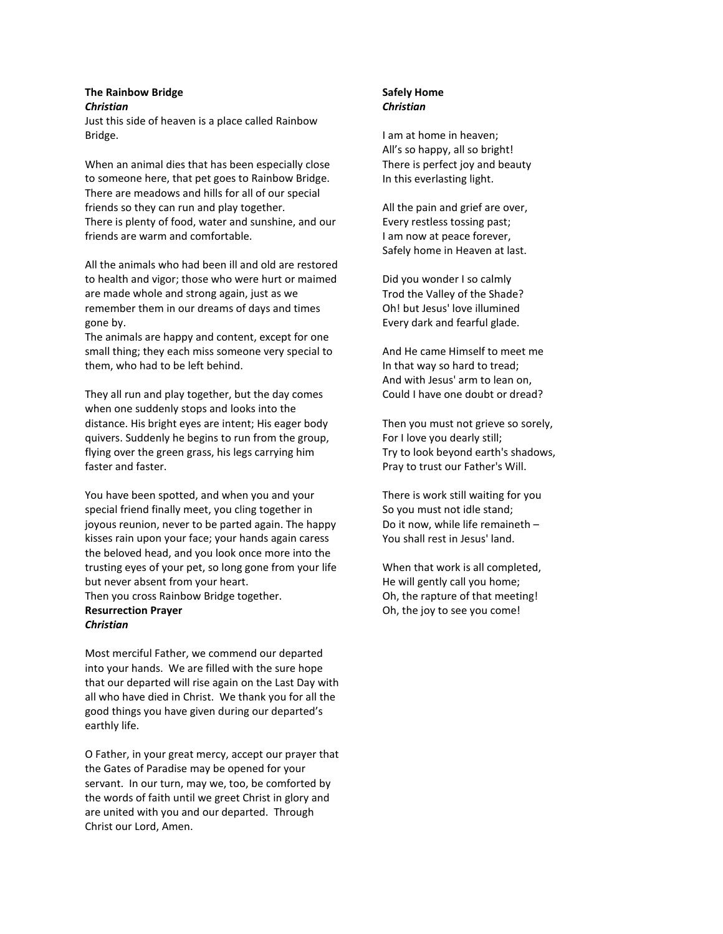#### **The Rainbow Bridge** *Christian*

Just this side of heaven is a place called Rainbow Bridge.

When an animal dies that has been especially close to someone here, that pet goes to Rainbow Bridge. There are meadows and hills for all of our special friends so they can run and play together. There is plenty of food, water and sunshine, and our friends are warm and comfortable.

All the animals who had been ill and old are restored to health and vigor; those who were hurt or maimed are made whole and strong again, just as we remember them in our dreams of days and times gone by.

The animals are happy and content, except for one small thing; they each miss someone very special to them, who had to be left behind.

They all run and play together, but the day comes when one suddenly stops and looks into the distance. His bright eyes are intent; His eager body quivers. Suddenly he begins to run from the group, flying over the green grass, his legs carrying him faster and faster.

You have been spotted, and when you and your special friend finally meet, you cling together in joyous reunion, never to be parted again. The happy kisses rain upon your face; your hands again caress the beloved head, and you look once more into the trusting eyes of your pet, so long gone from your life but never absent from your heart.

Then you cross Rainbow Bridge together.

#### **Resurrection Prayer** *Christian*

Most merciful Father, we commend our departed into your hands. We are filled with the sure hope that our departed will rise again on the Last Day with all who have died in Christ. We thank you for all the good things you have given during our departed's earthly life.

O Father, in your great mercy, accept our prayer that the Gates of Paradise may be opened for your servant. In our turn, may we, too, be comforted by the words of faith until we greet Christ in glory and are united with you and our departed. Through Christ our Lord, Amen.

#### **Safely Home** *Christian*

I am at home in heaven; All's so happy, all so bright! There is perfect joy and beauty In this everlasting light.

All the pain and grief are over, Every restless tossing past; I am now at peace forever, Safely home in Heaven at last.

Did you wonder I so calmly Trod the Valley of the Shade? Oh! but Jesus' love illumined Every dark and fearful glade.

And He came Himself to meet me In that way so hard to tread; And with Jesus' arm to lean on, Could I have one doubt or dread?

Then you must not grieve so sorely, For I love you dearly still; Try to look beyond earth's shadows, Pray to trust our Father's Will.

There is work still waiting for you So you must not idle stand; Do it now, while life remaineth – You shall rest in Jesus' land.

When that work is all completed, He will gently call you home; Oh, the rapture of that meeting! Oh, the joy to see you come!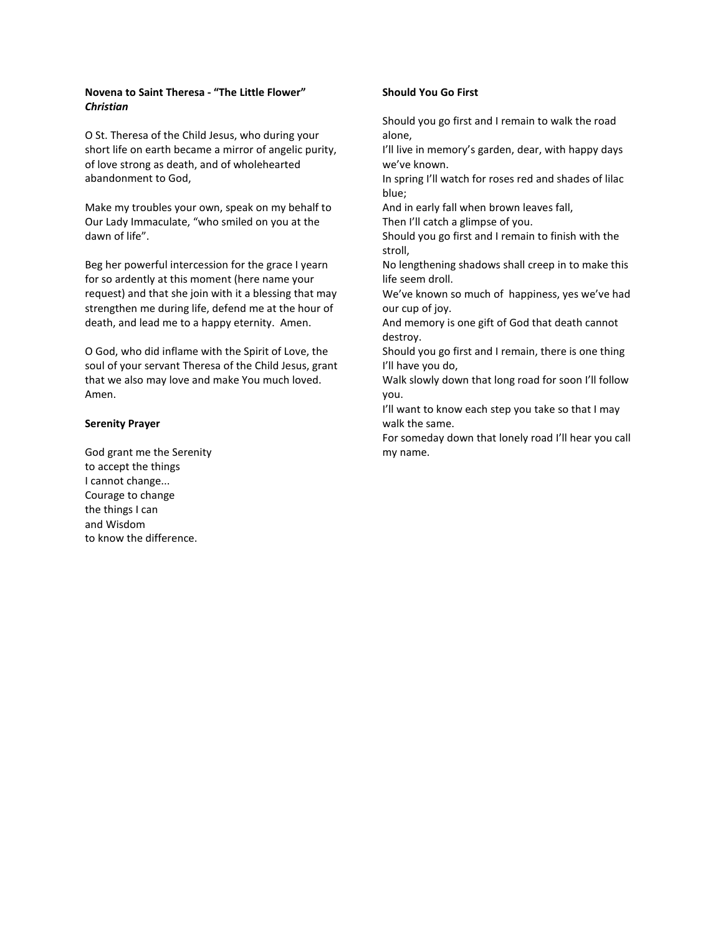## **Novena to Saint Theresa - "The Little Flower"** *Christian*

O St. Theresa of the Child Jesus, who during your short life on earth became a mirror of angelic purity, of love strong as death, and of wholehearted abandonment to God,

Make my troubles your own, speak on my behalf to Our Lady Immaculate, "who smiled on you at the dawn of life".

Beg her powerful intercession for the grace I yearn for so ardently at this moment (here name your request) and that she join with it a blessing that may strengthen me during life, defend me at the hour of death, and lead me to a happy eternity. Amen.

O God, who did inflame with the Spirit of Love, the soul of your servant Theresa of the Child Jesus, grant that we also may love and make You much loved. Amen.

#### **Serenity Prayer**

God grant me the Serenity to accept the things I cannot change... Courage to change the things I can and Wisdom to know the difference.

## **Should You Go First**

Should you go first and I remain to walk the road alone,

I'll live in memory's garden, dear, with happy days we've known.

In spring I'll watch for roses red and shades of lilac blue;

And in early fall when brown leaves fall,

Then I'll catch a glimpse of you.

Should you go first and I remain to finish with the stroll,

No lengthening shadows shall creep in to make this life seem droll.

We've known so much of happiness, yes we've had our cup of joy.

And memory is one gift of God that death cannot destroy.

Should you go first and I remain, there is one thing I'll have you do,

Walk slowly down that long road for soon I'll follow you.

I'll want to know each step you take so that I may walk the same.

For someday down that lonely road I'll hear you call my name.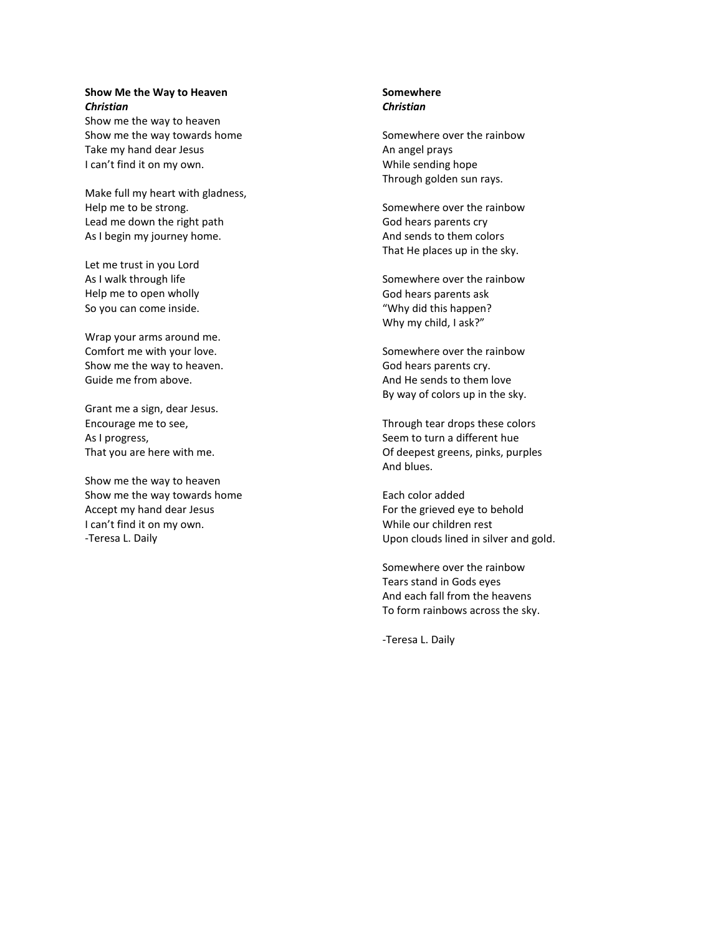#### **Show Me the Way to Heaven** *Christian*

Show me the way to heaven Show me the way towards home Take my hand dear Jesus I can't find it on my own.

Make full my heart with gladness, Help me to be strong. Lead me down the right path As I begin my journey home.

Let me trust in you Lord As I walk through life Help me to open wholly So you can come inside.

Wrap your arms around me. Comfort me with your love. Show me the way to heaven. Guide me from above.

Grant me a sign, dear Jesus. Encourage me to see, As I progress, That you are here with me.

Show me the way to heaven Show me the way towards home Accept my hand dear Jesus I can't find it on my own. -Teresa L. Daily

#### **Somewhere** *Christian*

Somewhere over the rainbow An angel prays While sending hope Through golden sun rays.

Somewhere over the rainbow God hears parents cry And sends to them colors That He places up in the sky.

Somewhere over the rainbow God hears parents ask "Why did this happen? Why my child, I ask?"

Somewhere over the rainbow God hears parents cry. And He sends to them love By way of colors up in the sky.

Through tear drops these colors Seem to turn a different hue Of deepest greens, pinks, purples And blues.

Each color added For the grieved eye to behold While our children rest Upon clouds lined in silver and gold.

Somewhere over the rainbow Tears stand in Gods eyes And each fall from the heavens To form rainbows across the sky.

-Teresa L. Daily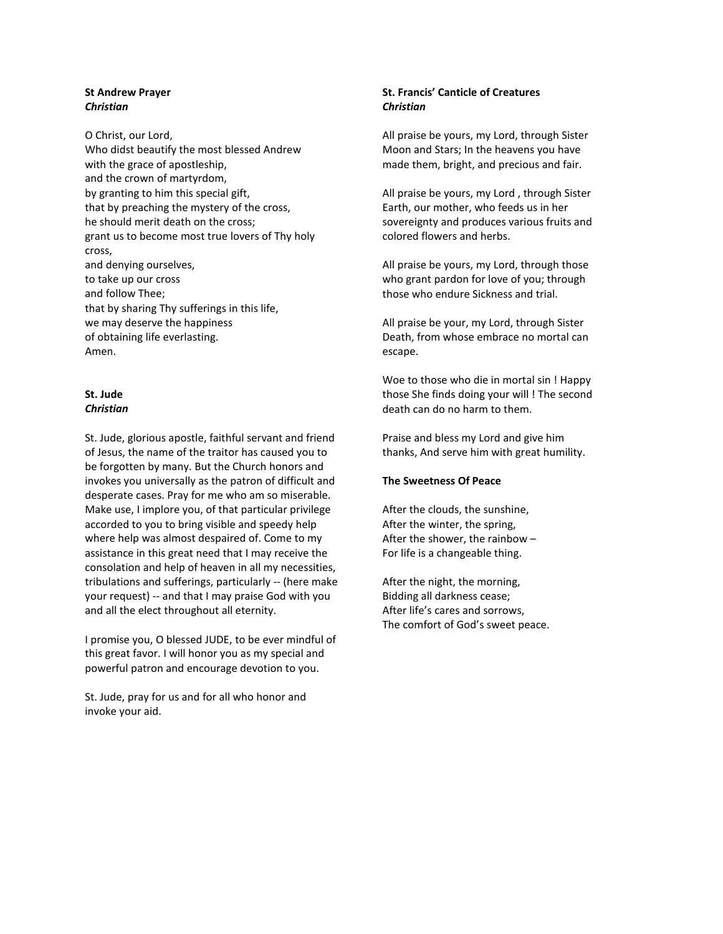#### **St Andrew Prayer** *Christian*

O Christ, our Lord, Who didst beautify the most blessed Andrew with the grace of apostleship, and the crown of martyrdom, by granting to him this special gift, that by preaching the mystery of the cross, he should merit death on the cross; grant us to become most true lovers of Thy holy cross, and denying ourselves, to take up our cross and follow Thee; that by sharing Thy sufferings in this life, we may deserve the happiness of obtaining life everlasting. Amen.

## **St. Jude** *Christian*

St. Jude, glorious apostle, faithful servant and friend of Jesus, the name of the traitor has caused you to be forgotten by many. But the Church honors and invokes you universally as the patron of difficult and desperate cases. Pray for me who am so miserable. Make use, I implore you, of that particular privilege accorded to you to bring visible and speedy help where help was almost despaired of. Come to my assistance in this great need that I may receive the consolation and help of heaven in all my necessities, tribulations and sufferings, particularly -- (here make your request) -- and that I may praise God with you and all the elect throughout all eternity.

I promise you, O blessed JUDE, to be ever mindful of this great favor. I will honor you as my special and powerful patron and encourage devotion to you.

St. Jude, pray for us and for all who honor and invoke your aid.

## **St. Francis' Canticle of Creatures** *Christian*

All praise be yours, my Lord, through Sister Moon and Stars; In the heavens you have made them, bright, and precious and fair.

All praise be yours, my Lord , through Sister Earth, our mother, who feeds us in her sovereignty and produces various fruits and colored flowers and herbs.

All praise be yours, my Lord, through those who grant pardon for love of you; through those who endure Sickness and trial.

All praise be your, my Lord, through Sister Death, from whose embrace no mortal can escape.

Woe to those who die in mortal sin ! Happy those She finds doing your will ! The second death can do no harm to them.

Praise and bless my Lord and give him thanks, And serve him with great humility.

#### **The Sweetness Of Peace**

After the clouds, the sunshine, After the winter, the spring, After the shower, the rainbow – For life is a changeable thing.

After the night, the morning, Bidding all darkness cease; After life's cares and sorrows, The comfort of God's sweet peace.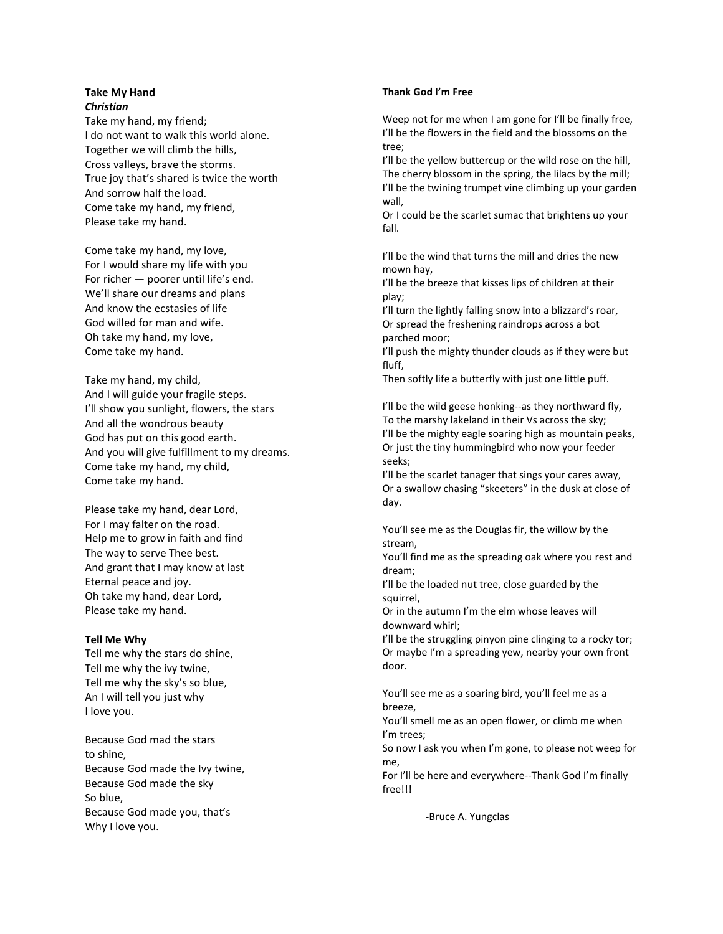#### **Take My Hand** *Christian*

Take my hand, my friend; I do not want to walk this world alone. Together we will climb the hills, Cross valleys, brave the storms. True joy that's shared is twice the worth And sorrow half the load. Come take my hand, my friend, Please take my hand.

Come take my hand, my love, For I would share my life with you For richer — poorer until life's end. We'll share our dreams and plans And know the ecstasies of life God willed for man and wife. Oh take my hand, my love, Come take my hand.

Take my hand, my child, And I will guide your fragile steps. I'll show you sunlight, flowers, the stars And all the wondrous beauty God has put on this good earth. And you will give fulfillment to my dreams. Come take my hand, my child, Come take my hand.

Please take my hand, dear Lord, For I may falter on the road. Help me to grow in faith and find The way to serve Thee best. And grant that I may know at last Eternal peace and joy. Oh take my hand, dear Lord, Please take my hand.

#### **Tell Me Why**

Tell me why the stars do shine, Tell me why the ivy twine, Tell me why the sky's so blue, An I will tell you just why I love you.

Because God mad the stars to shine, Because God made the Ivy twine, Because God made the sky So blue, Because God made you, that's Why I love you.

#### **Thank God I'm Free**

Weep not for me when I am gone for I'll be finally free, I'll be the flowers in the field and the blossoms on the tree;

I'll be the yellow buttercup or the wild rose on the hill, The cherry blossom in the spring, the lilacs by the mill; I'll be the twining trumpet vine climbing up your garden wall,

Or I could be the scarlet sumac that brightens up your fall.

I'll be the wind that turns the mill and dries the new mown hay,

I'll be the breeze that kisses lips of children at their play;

I'll turn the lightly falling snow into a blizzard's roar, Or spread the freshening raindrops across a bot parched moor;

I'll push the mighty thunder clouds as if they were but fluff,

Then softly life a butterfly with just one little puff.

I'll be the wild geese honking--as they northward fly, To the marshy lakeland in their Vs across the sky; I'll be the mighty eagle soaring high as mountain peaks, Or just the tiny hummingbird who now your feeder seeks;

I'll be the scarlet tanager that sings your cares away, Or a swallow chasing "skeeters" in the dusk at close of day.

You'll see me as the Douglas fir, the willow by the stream,

You'll find me as the spreading oak where you rest and dream;

I'll be the loaded nut tree, close guarded by the squirrel,

Or in the autumn I'm the elm whose leaves will downward whirl;

I'll be the struggling pinyon pine clinging to a rocky tor; Or maybe I'm a spreading yew, nearby your own front door.

You'll see me as a soaring bird, you'll feel me as a breeze,

You'll smell me as an open flower, or climb me when I'm trees;

So now I ask you when I'm gone, to please not weep for me,

For I'll be here and everywhere--Thank God I'm finally free!!!

-Bruce A. Yungclas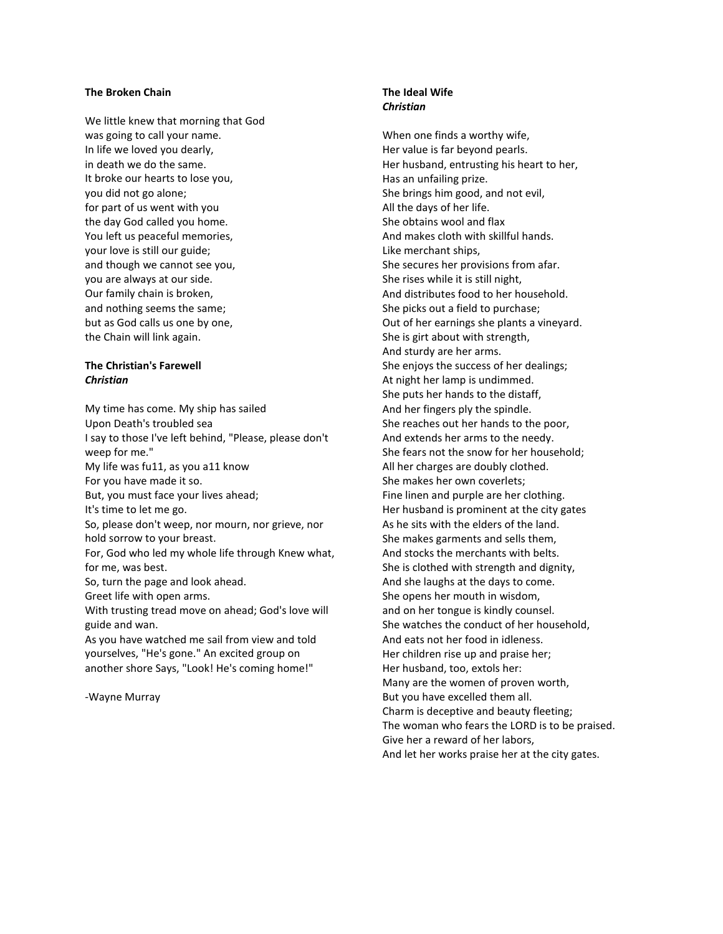#### **The Broken Chain**

We little knew that morning that God was going to call your name. In life we loved you dearly, in death we do the same. It broke our hearts to lose you, you did not go alone; for part of us went with you the day God called you home. You left us peaceful memories, your love is still our guide; and though we cannot see you, you are always at our side. Our family chain is broken, and nothing seems the same; but as God calls us one by one, the Chain will link again.

#### **The Christian's Farewell** *Christian*

My time has come. My ship has sailed Upon Death's troubled sea I say to those I've left behind, "Please, please don't weep for me." My life was fu11, as you a11 know For you have made it so. But, you must face your lives ahead; It's time to let me go. So, please don't weep, nor mourn, nor grieve, nor hold sorrow to your breast. For, God who led my whole life through Knew what, for me, was best. So, turn the page and look ahead. Greet life with open arms. With trusting tread move on ahead; God's love will guide and wan. As you have watched me sail from view and told yourselves, "He's gone." An excited group on another shore Says, "Look! He's coming home!"

-Wayne Murray

## **The Ideal Wife** *Christian*

When one finds a worthy wife, Her value is far beyond pearls. Her husband, entrusting his heart to her, Has an unfailing prize. She brings him good, and not evil, All the days of her life. She obtains wool and flax And makes cloth with skillful hands. Like merchant ships, She secures her provisions from afar. She rises while it is still night, And distributes food to her household. She picks out a field to purchase; Out of her earnings she plants a vineyard. She is girt about with strength, And sturdy are her arms. She enjoys the success of her dealings; At night her lamp is undimmed. She puts her hands to the distaff, And her fingers ply the spindle. She reaches out her hands to the poor, And extends her arms to the needy. She fears not the snow for her household; All her charges are doubly clothed. She makes her own coverlets; Fine linen and purple are her clothing. Her husband is prominent at the city gates As he sits with the elders of the land. She makes garments and sells them, And stocks the merchants with belts. She is clothed with strength and dignity, And she laughs at the days to come. She opens her mouth in wisdom, and on her tongue is kindly counsel. She watches the conduct of her household, And eats not her food in idleness. Her children rise up and praise her; Her husband, too, extols her: Many are the women of proven worth, But you have excelled them all. Charm is deceptive and beauty fleeting; The woman who fears the LORD is to be praised. Give her a reward of her labors, And let her works praise her at the city gates.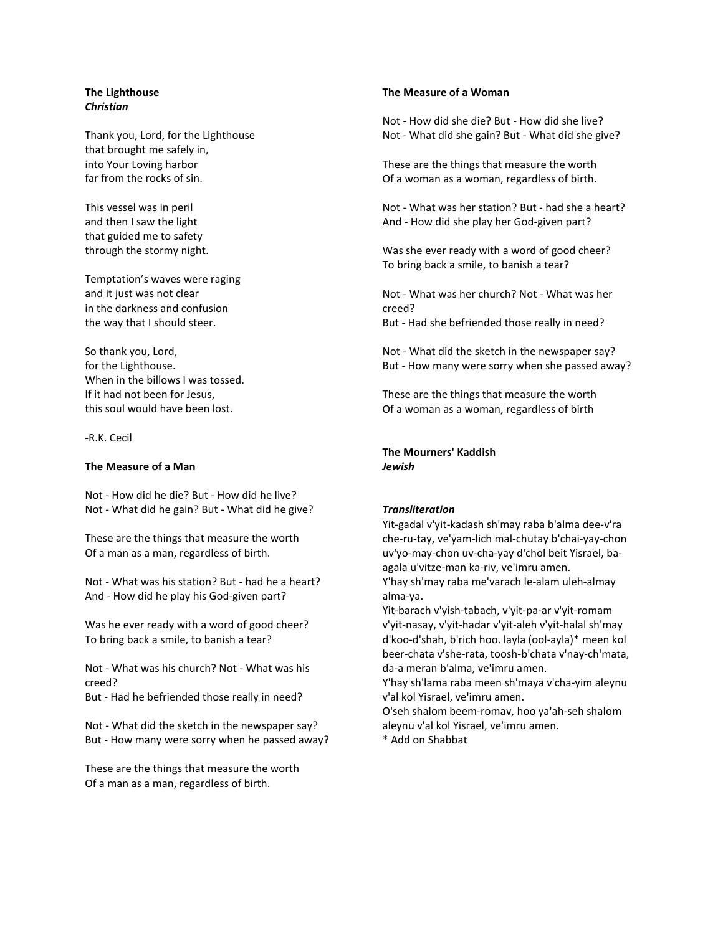#### **The Lighthouse** *Christian*

Thank you, Lord, for the Lighthouse that brought me safely in, into Your Loving harbor far from the rocks of sin.

This vessel was in peril and then I saw the light that guided me to safety through the stormy night.

Temptation's waves were raging and it just was not clear in the darkness and confusion the way that I should steer.

So thank you, Lord, for the Lighthouse. When in the billows I was tossed. If it had not been for Jesus, this soul would have been lost.

-R.K. Cecil

### **The Measure of a Man**

Not - How did he die? But - How did he live? Not - What did he gain? But - What did he give?

These are the things that measure the worth Of a man as a man, regardless of birth.

Not - What was his station? But - had he a heart? And - How did he play his God-given part?

Was he ever ready with a word of good cheer? To bring back a smile, to banish a tear?

Not - What was his church? Not - What was his creed?

But - Had he befriended those really in need?

Not - What did the sketch in the newspaper say? But - How many were sorry when he passed away?

These are the things that measure the worth Of a man as a man, regardless of birth.

#### **The Measure of a Woman**

Not - How did she die? But - How did she live? Not - What did she gain? But - What did she give?

These are the things that measure the worth Of a woman as a woman, regardless of birth.

Not - What was her station? But - had she a heart? And - How did she play her God-given part?

Was she ever ready with a word of good cheer? To bring back a smile, to banish a tear?

Not - What was her church? Not - What was her creed?

But - Had she befriended those really in need?

Not - What did the sketch in the newspaper say? But - How many were sorry when she passed away?

These are the things that measure the worth Of a woman as a woman, regardless of birth

**The Mourners' Kaddish** *Jewish*

#### *Transliteration*

Yit-gadal v'yit-kadash sh'may raba b'alma dee-v'ra che-ru-tay, ve'yam-lich mal-chutay b'chai-yay-chon uv'yo-may-chon uv-cha-yay d'chol beit Yisrael, baagala u'vitze-man ka-riv, ve'imru amen. Y'hay sh'may raba me'varach le-alam uleh-almay alma-ya.

Yit-barach v'yish-tabach, v'yit-pa-ar v'yit-romam v'yit-nasay, v'yit-hadar v'yit-aleh v'yit-halal sh'may d'koo-d'shah, b'rich hoo. layla (ool-ayla)\* meen kol beer-chata v'she-rata, toosh-b'chata v'nay-ch'mata, da-a meran b'alma, ve'imru amen.

Y'hay sh'lama raba meen sh'maya v'cha-yim aleynu v'al kol Yisrael, ve'imru amen.

O'seh shalom beem-romav, hoo ya'ah-seh shalom aleynu v'al kol Yisrael, ve'imru amen.

\* Add on Shabbat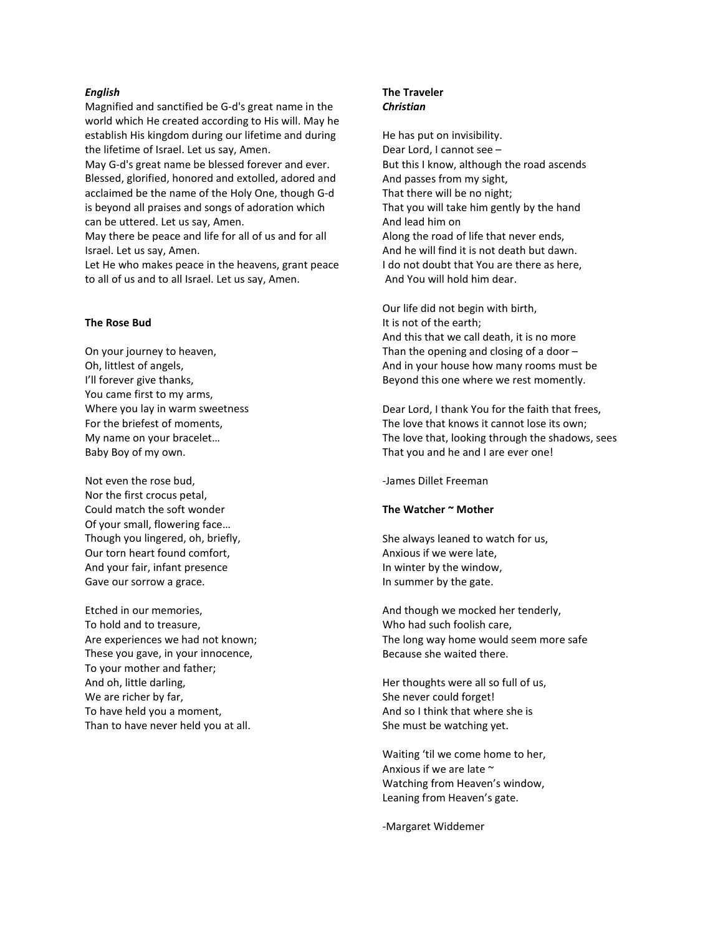#### *English*

Magnified and sanctified be G-d's great name in the world which He created according to His will. May he establish His kingdom during our lifetime and during the lifetime of Israel. Let us say, Amen.

May G-d's great name be blessed forever and ever. Blessed, glorified, honored and extolled, adored and acclaimed be the name of the Holy One, though G-d is beyond all praises and songs of adoration which can be uttered. Let us say, Amen.

May there be peace and life for all of us and for all Israel. Let us say, Amen.

Let He who makes peace in the heavens, grant peace to all of us and to all Israel. Let us say, Amen.

#### **The Rose Bud**

On your journey to heaven, Oh, littlest of angels, I'll forever give thanks, You came first to my arms, Where you lay in warm sweetness For the briefest of moments, My name on your bracelet… Baby Boy of my own.

Not even the rose bud, Nor the first crocus petal, Could match the soft wonder Of your small, flowering face… Though you lingered, oh, briefly, Our torn heart found comfort, And your fair, infant presence Gave our sorrow a grace.

Etched in our memories, To hold and to treasure, Are experiences we had not known; These you gave, in your innocence, To your mother and father; And oh, little darling, We are richer by far, To have held you a moment, Than to have never held you at all.

## **The Traveler** *Christian*

He has put on invisibility. Dear Lord, I cannot see – But this I know, although the road ascends And passes from my sight, That there will be no night; That you will take him gently by the hand And lead him on Along the road of life that never ends, And he will find it is not death but dawn. I do not doubt that You are there as here, And You will hold him dear.

Our life did not begin with birth, It is not of the earth; And this that we call death, it is no more Than the opening and closing of a door – And in your house how many rooms must be Beyond this one where we rest momently.

Dear Lord, I thank You for the faith that frees, The love that knows it cannot lose its own; The love that, looking through the shadows, sees That you and he and I are ever one!

-James Dillet Freeman

#### **The Watcher ~ Mother**

She always leaned to watch for us, Anxious if we were late, In winter by the window, In summer by the gate.

And though we mocked her tenderly, Who had such foolish care, The long way home would seem more safe Because she waited there.

Her thoughts were all so full of us, She never could forget! And so I think that where she is She must be watching yet.

Waiting 'til we come home to her, Anxious if we are late ~ Watching from Heaven's window, Leaning from Heaven's gate.

-Margaret Widdemer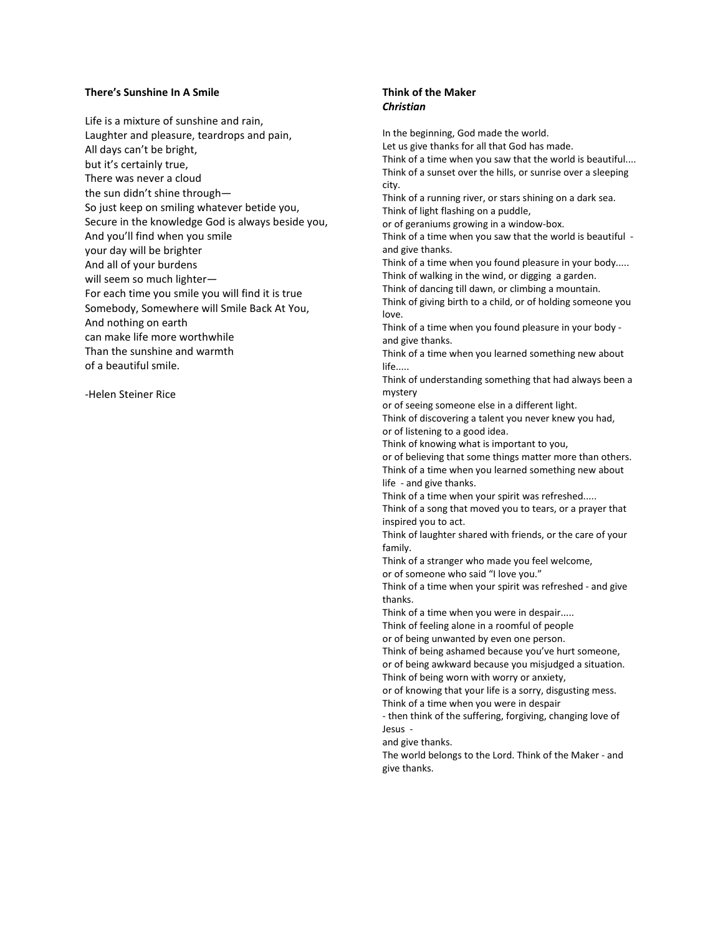#### **There's Sunshine In A Smile**

Life is a mixture of sunshine and rain, Laughter and pleasure, teardrops and pain, All days can't be bright, but it's certainly true, There was never a cloud the sun didn't shine through— So just keep on smiling whatever betide you, Secure in the knowledge God is always beside you, And you'll find when you smile your day will be brighter And all of your burdens will seem so much lighter— For each time you smile you will find it is true Somebody, Somewhere will Smile Back At You, And nothing on earth can make life more worthwhile Than the sunshine and warmth of a beautiful smile.

-Helen Steiner Rice

## **Think of the Maker** *Christian*

In the beginning, God made the world.

Let us give thanks for all that God has made.

Think of a time when you saw that the world is beautiful.... Think of a sunset over the hills, or sunrise over a sleeping city.

Think of a running river, or stars shining on a dark sea. Think of light flashing on a puddle,

or of geraniums growing in a window-box.

Think of a time when you saw that the world is beautiful and give thanks.

Think of a time when you found pleasure in your body..... Think of walking in the wind, or digging a garden.

Think of dancing till dawn, or climbing a mountain.

Think of giving birth to a child, or of holding someone you love.

Think of a time when you found pleasure in your body and give thanks.

Think of a time when you learned something new about life.....

Think of understanding something that had always been a mystery

or of seeing someone else in a different light.

Think of discovering a talent you never knew you had, or of listening to a good idea.

Think of knowing what is important to you,

or of believing that some things matter more than others. Think of a time when you learned something new about life - and give thanks.

Think of a time when your spirit was refreshed.....

Think of a song that moved you to tears, or a prayer that inspired you to act.

Think of laughter shared with friends, or the care of your family.

Think of a stranger who made you feel welcome,

or of someone who said "I love you."

Think of a time when your spirit was refreshed - and give thanks.

Think of a time when you were in despair.....

Think of feeling alone in a roomful of people

or of being unwanted by even one person.

Think of being ashamed because you've hurt someone, or of being awkward because you misjudged a situation. Think of being worn with worry or anxiety,

or of knowing that your life is a sorry, disgusting mess. Think of a time when you were in despair

- then think of the suffering, forgiving, changing love of Jesus -

and give thanks.

The world belongs to the Lord. Think of the Maker - and give thanks.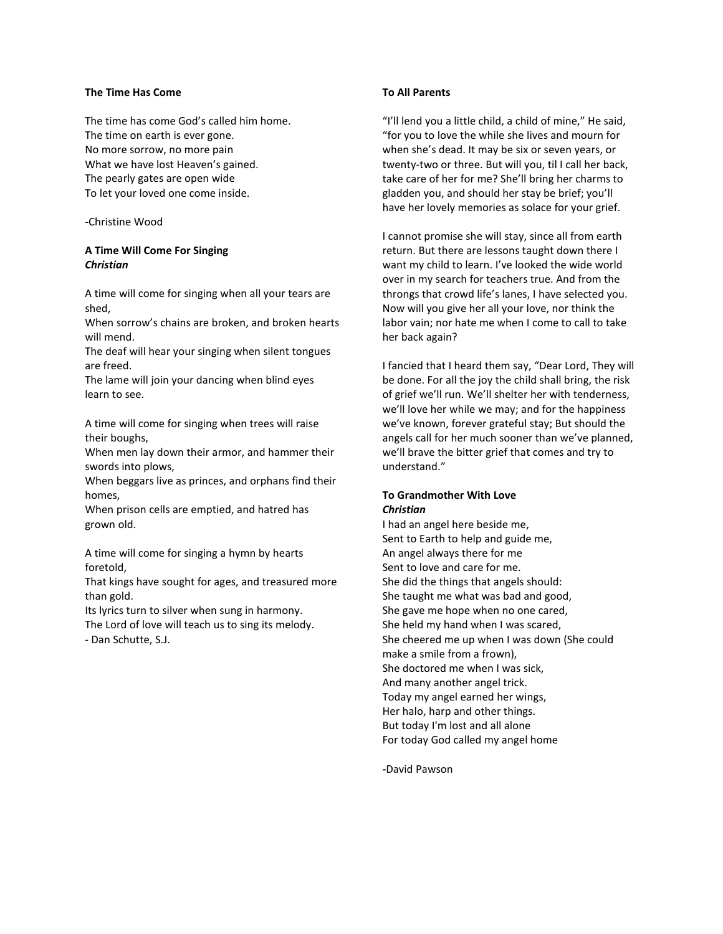#### **The Time Has Come**

The time has come God's called him home. The time on earth is ever gone. No more sorrow, no more pain What we have lost Heaven's gained. The pearly gates are open wide To let your loved one come inside.

-Christine Wood

#### **A Time Will Come For Singing** *Christian*

A time will come for singing when all your tears are shed,

When sorrow's chains are broken, and broken hearts will mend.

The deaf will hear your singing when silent tongues are freed.

The lame will join your dancing when blind eyes learn to see.

A time will come for singing when trees will raise their boughs,

When men lay down their armor, and hammer their swords into plows,

When beggars live as princes, and orphans find their homes,

When prison cells are emptied, and hatred has grown old.

A time will come for singing a hymn by hearts foretold,

That kings have sought for ages, and treasured more than gold.

Its lyrics turn to silver when sung in harmony. The Lord of love will teach us to sing its melody. - Dan Schutte, S.J.

**To All Parents**

"I'll lend you a little child, a child of mine," He said, "for you to love the while she lives and mourn for when she's dead. It may be six or seven years, or twenty-two or three. But will you, til I call her back, take care of her for me? She'll bring her charms to gladden you, and should her stay be brief; you'll have her lovely memories as solace for your grief.

I cannot promise she will stay, since all from earth return. But there are lessons taught down there I want my child to learn. I've looked the wide world over in my search for teachers true. And from the throngs that crowd life's lanes, I have selected you. Now will you give her all your love, nor think the labor vain; nor hate me when I come to call to take her back again?

I fancied that I heard them say, "Dear Lord, They will be done. For all the joy the child shall bring, the risk of grief we'll run. We'll shelter her with tenderness, we'll love her while we may; and for the happiness we've known, forever grateful stay; But should the angels call for her much sooner than we've planned, we'll brave the bitter grief that comes and try to understand."

#### **To Grandmother With Love** *Christian*

I had an angel here beside me, Sent to Earth to help and guide me, An angel always there for me Sent to love and care for me. She did the things that angels should: She taught me what was bad and good, She gave me hope when no one cared, She held my hand when I was scared, She cheered me up when I was down (She could make a smile from a frown), She doctored me when I was sick, And many another angel trick. Today my angel earned her wings, Her halo, harp and other things. But today I'm lost and all alone For today God called my angel home

**-**David Pawson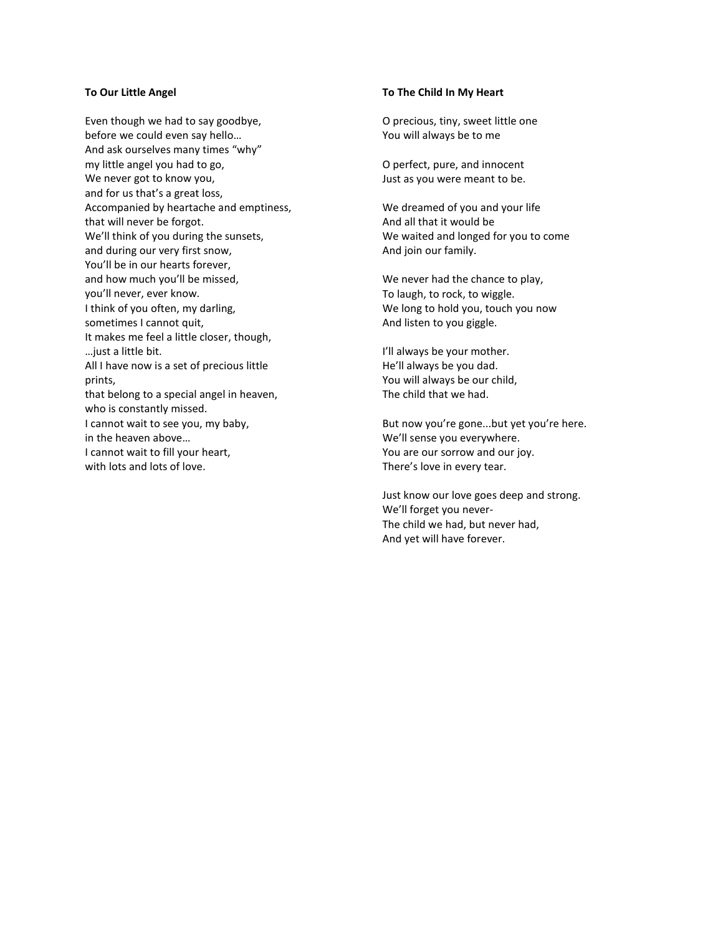#### **To Our Little Angel**

Even though we had to say goodbye, before we could even say hello… And ask ourselves many times "why" my little angel you had to go, We never got to know you, and for us that's a great loss, Accompanied by heartache and emptiness, that will never be forgot. We'll think of you during the sunsets, and during our very first snow, You'll be in our hearts forever, and how much you'll be missed, you'll never, ever know. I think of you often, my darling, sometimes I cannot quit, It makes me feel a little closer, though, …just a little bit. All I have now is a set of precious little prints, that belong to a special angel in heaven, who is constantly missed. I cannot wait to see you, my baby, in the heaven above… I cannot wait to fill your heart, with lots and lots of love.

#### **To The Child In My Heart**

O precious, tiny, sweet little one You will always be to me

O perfect, pure, and innocent Just as you were meant to be.

We dreamed of you and your life And all that it would be We waited and longed for you to come And join our family.

We never had the chance to play, To laugh, to rock, to wiggle. We long to hold you, touch you now And listen to you giggle.

I'll always be your mother. He'll always be you dad. You will always be our child, The child that we had.

But now you're gone...but yet you're here. We'll sense you everywhere. You are our sorrow and our joy. There's love in every tear.

Just know our love goes deep and strong. We'll forget you never-The child we had, but never had, And yet will have forever.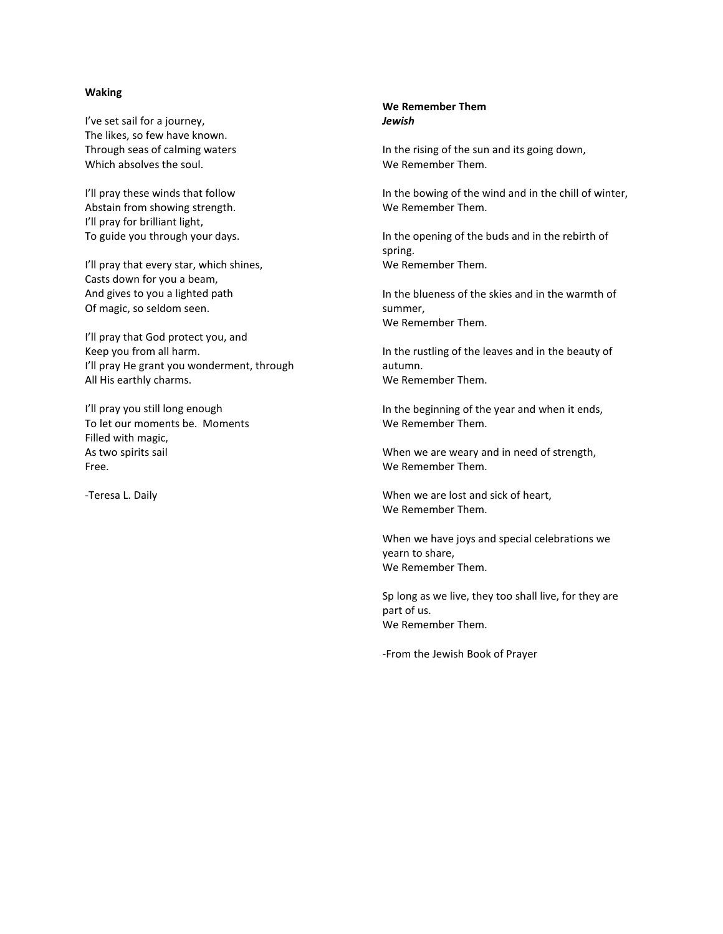#### **Waking**

I've set sail for a journey, The likes, so few have known. Through seas of calming waters Which absolves the soul.

I'll pray these winds that follow Abstain from showing strength. I'll pray for brilliant light, To guide you through your days.

I'll pray that every star, which shines, Casts down for you a beam, And gives to you a lighted path Of magic, so seldom seen.

I'll pray that God protect you, and Keep you from all harm. I'll pray He grant you wonderment, through All His earthly charms.

I'll pray you still long enough To let our moments be. Moments Filled with magic, As two spirits sail Free.

-Teresa L. Daily

#### **We Remember Them** *Jewish*

In the rising of the sun and its going down, We Remember Them.

In the bowing of the wind and in the chill of winter, We Remember Them.

In the opening of the buds and in the rebirth of spring. We Remember Them.

In the blueness of the skies and in the warmth of summer, We Remember Them.

In the rustling of the leaves and in the beauty of autumn. We Remember Them.

In the beginning of the year and when it ends, We Remember Them.

When we are weary and in need of strength, We Remember Them.

When we are lost and sick of heart, We Remember Them.

When we have joys and special celebrations we yearn to share, We Remember Them.

Sp long as we live, they too shall live, for they are part of us. We Remember Them.

-From the Jewish Book of Prayer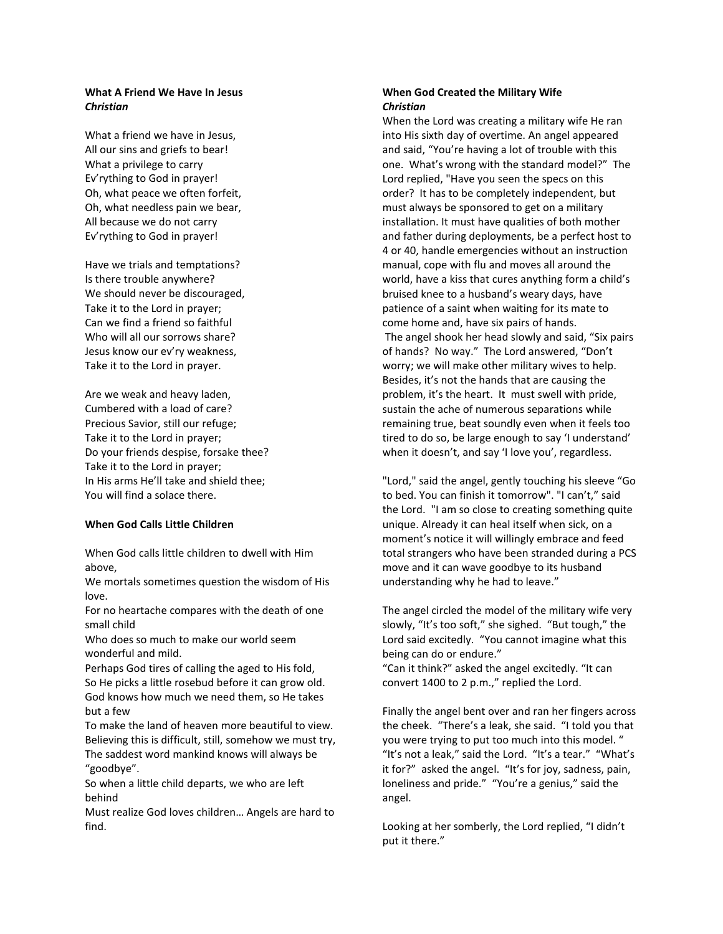#### **What A Friend We Have In Jesus** *Christian*

What a friend we have in Jesus, All our sins and griefs to bear! What a privilege to carry Ev'rything to God in prayer! Oh, what peace we often forfeit, Oh, what needless pain we bear, All because we do not carry Ev'rything to God in prayer!

Have we trials and temptations? Is there trouble anywhere? We should never be discouraged, Take it to the Lord in prayer; Can we find a friend so faithful Who will all our sorrows share? Jesus know our ev'ry weakness, Take it to the Lord in prayer.

Are we weak and heavy laden, Cumbered with a load of care? Precious Savior, still our refuge; Take it to the Lord in prayer; Do your friends despise, forsake thee? Take it to the Lord in prayer; In His arms He'll take and shield thee; You will find a solace there.

#### **When God Calls Little Children**

When God calls little children to dwell with Him above,

We mortals sometimes question the wisdom of His love.

For no heartache compares with the death of one small child

Who does so much to make our world seem wonderful and mild.

Perhaps God tires of calling the aged to His fold, So He picks a little rosebud before it can grow old. God knows how much we need them, so He takes but a few

To make the land of heaven more beautiful to view. Believing this is difficult, still, somehow we must try, The saddest word mankind knows will always be "goodbye".

So when a little child departs, we who are left behind

Must realize God loves children… Angels are hard to find.

### **When God Created the Military Wife** *Christian*

When the Lord was creating a military wife He ran into His sixth day of overtime. An angel appeared and said, "You're having a lot of trouble with this one. What's wrong with the standard model?" The Lord replied, "Have you seen the specs on this order? It has to be completely independent, but must always be sponsored to get on a military installation. It must have qualities of both mother and father during deployments, be a perfect host to 4 or 40, handle emergencies without an instruction manual, cope with flu and moves all around the world, have a kiss that cures anything form a child's bruised knee to a husband's weary days, have patience of a saint when waiting for its mate to come home and, have six pairs of hands.

The angel shook her head slowly and said, "Six pairs of hands? No way." The Lord answered, "Don't worry; we will make other military wives to help. Besides, it's not the hands that are causing the problem, it's the heart. It must swell with pride, sustain the ache of numerous separations while remaining true, beat soundly even when it feels too tired to do so, be large enough to say 'I understand' when it doesn't, and say 'I love you', regardless.

"Lord," said the angel, gently touching his sleeve "Go to bed. You can finish it tomorrow". "I can't," said the Lord. "I am so close to creating something quite unique. Already it can heal itself when sick, on a moment's notice it will willingly embrace and feed total strangers who have been stranded during a PCS move and it can wave goodbye to its husband understanding why he had to leave."

The angel circled the model of the military wife very slowly, "It's too soft," she sighed. "But tough," the Lord said excitedly. "You cannot imagine what this being can do or endure."

"Can it think?" asked the angel excitedly. "It can convert 1400 to 2 p.m.," replied the Lord.

Finally the angel bent over and ran her fingers across the cheek. "There's a leak, she said. "I told you that you were trying to put too much into this model. " "It's not a leak," said the Lord. "It's a tear." "What's it for?" asked the angel. "It's for joy, sadness, pain, loneliness and pride." "You're a genius," said the angel.

Looking at her somberly, the Lord replied, "I didn't put it there."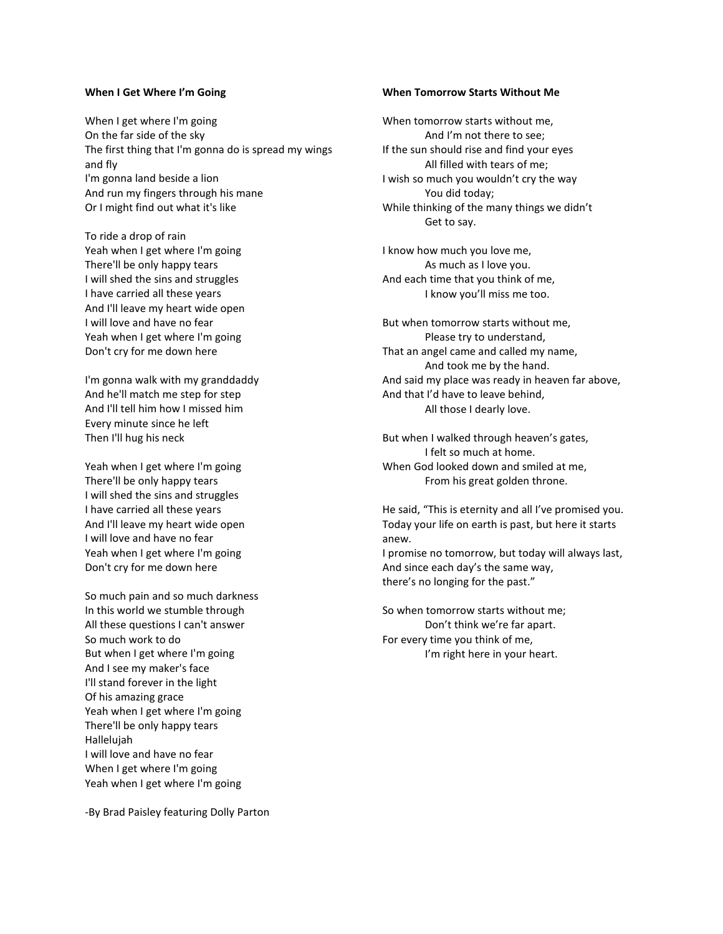#### **When I Get Where I'm Going**

When I get where I'm going On the far side of the sky The first thing that I'm gonna do is spread my wings and fly I'm gonna land beside a lion And run my fingers through his mane Or I might find out what it's like

To ride a drop of rain Yeah when I get where I'm going There'll be only happy tears I will shed the sins and struggles I have carried all these years And I'll leave my heart wide open I will love and have no fear Yeah when I get where I'm going Don't cry for me down here

I'm gonna walk with my granddaddy And he'll match me step for step And I'll tell him how I missed him Every minute since he left Then I'll hug his neck

Yeah when I get where I'm going There'll be only happy tears I will shed the sins and struggles I have carried all these years And I'll leave my heart wide open I will love and have no fear Yeah when I get where I'm going Don't cry for me down here

So much pain and so much darkness In this world we stumble through All these questions I can't answer So much work to do But when I get where I'm going And I see my maker's face I'll stand forever in the light Of his amazing grace Yeah when I get where I'm going There'll be only happy tears Hallelujah I will love and have no fear When I get where I'm going Yeah when I get where I'm going

-By Brad Paisley featuring Dolly Parton

#### **When Tomorrow Starts Without Me**

When tomorrow starts without me, And I'm not there to see; If the sun should rise and find your eyes All filled with tears of me; I wish so much you wouldn't cry the way You did today; While thinking of the many things we didn't Get to say.

I know how much you love me, As much as I love you. And each time that you think of me, I know you'll miss me too.

But when tomorrow starts without me, Please try to understand, That an angel came and called my name, And took me by the hand. And said my place was ready in heaven far above, And that I'd have to leave behind, All those I dearly love.

But when I walked through heaven's gates, I felt so much at home. When God looked down and smiled at me, From his great golden throne.

He said, "This is eternity and all I've promised you. Today your life on earth is past, but here it starts anew.

I promise no tomorrow, but today will always last, And since each day's the same way, there's no longing for the past."

So when tomorrow starts without me; Don't think we're far apart. For every time you think of me, I'm right here in your heart.